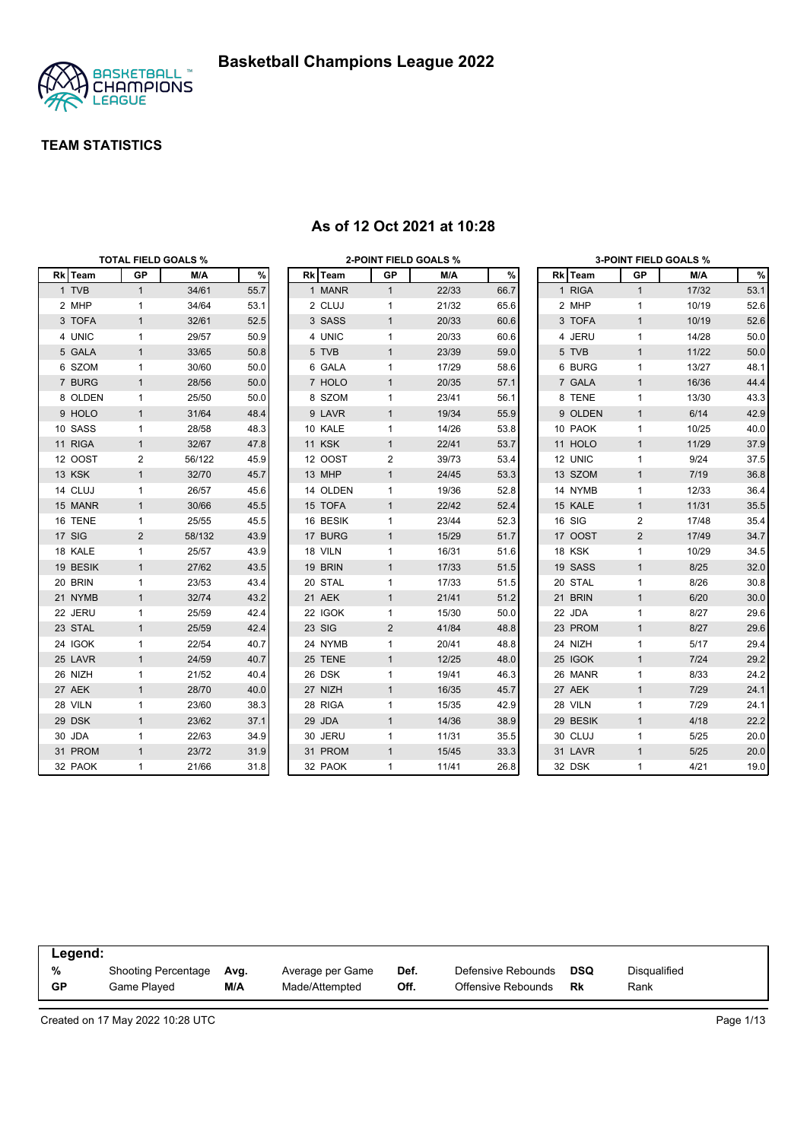

|          | <b>TOTAL FIELD GOALS %</b> |        |      |          |                | 2-POINT FIELD GOALS % |      |          |                | <b>3-POINT FIELD GOALS %</b> |      |
|----------|----------------------------|--------|------|----------|----------------|-----------------------|------|----------|----------------|------------------------------|------|
| Rk Team  | <b>GP</b>                  | M/A    | $\%$ | Rk Team  | GP             | M/A                   | %    | Rk Team  | <b>GP</b>      | M/A                          | $\%$ |
| 1 TVB    | $\mathbf{1}$               | 34/61  | 55.7 | 1 MANR   | $\mathbf{1}$   | 22/33                 | 66.7 | 1 RIGA   | $\mathbf{1}$   | 17/32                        | 53.1 |
| 2 MHP    | $\mathbf{1}$               | 34/64  | 53.1 | 2 CLUJ   | 1              | 21/32                 | 65.6 | 2 MHP    | $\mathbf{1}$   | 10/19                        | 52.6 |
| 3 TOFA   | $\mathbf{1}$               | 32/61  | 52.5 | 3 SASS   | $\mathbf{1}$   | 20/33                 | 60.6 | 3 TOFA   | $\mathbf{1}$   | 10/19                        | 52.6 |
| 4 UNIC   | $\mathbf{1}$               | 29/57  | 50.9 | 4 UNIC   | 1              | 20/33                 | 60.6 | 4 JERU   | $\mathbf{1}$   | 14/28                        | 50.0 |
| 5 GALA   | $\mathbf{1}$               | 33/65  | 50.8 | 5 TVB    | $\mathbf{1}$   | 23/39                 | 59.0 | 5 TVB    | $\mathbf{1}$   | 11/22                        | 50.0 |
| 6 SZOM   | $\mathbf{1}$               | 30/60  | 50.0 | 6 GALA   | 1              | 17/29                 | 58.6 | 6 BURG   | $\mathbf{1}$   | 13/27                        | 48.1 |
| 7 BURG   | $\mathbf{1}$               | 28/56  | 50.0 | 7 HOLO   | $\mathbf{1}$   | 20/35                 | 57.1 | 7 GALA   | $\mathbf{1}$   | 16/36                        | 44.4 |
| 8 OLDEN  | $\mathbf{1}$               | 25/50  | 50.0 | 8 SZOM   | $\mathbf{1}$   | 23/41                 | 56.1 | 8 TENE   | $\mathbf{1}$   | 13/30                        | 43.3 |
| 9 HOLO   | $\mathbf{1}$               | 31/64  | 48.4 | 9 LAVR   | $\mathbf{1}$   | 19/34                 | 55.9 | 9 OLDEN  | $\mathbf{1}$   | 6/14                         | 42.9 |
| 10 SASS  | $\mathbf{1}$               | 28/58  | 48.3 | 10 KALE  | 1              | 14/26                 | 53.8 | 10 PAOK  | $\mathbf{1}$   | 10/25                        | 40.0 |
| 11 RIGA  | $\mathbf{1}$               | 32/67  | 47.8 | 11 KSK   | $\mathbf{1}$   | 22/41                 | 53.7 | 11 HOLO  | $\mathbf{1}$   | 11/29                        | 37.9 |
| 12 OOST  | 2                          | 56/122 | 45.9 | 12 OOST  | 2              | 39/73                 | 53.4 | 12 UNIC  | $\mathbf{1}$   | 9/24                         | 37.5 |
| 13 KSK   | $\mathbf{1}$               | 32/70  | 45.7 | 13 MHP   | $\mathbf{1}$   | 24/45                 | 53.3 | 13 SZOM  | $\mathbf{1}$   | 7/19                         | 36.8 |
| 14 CLUJ  | $\mathbf{1}$               | 26/57  | 45.6 | 14 OLDEN | $\mathbf{1}$   | 19/36                 | 52.8 | 14 NYMB  | $\mathbf{1}$   | 12/33                        | 36.4 |
| 15 MANR  | $\mathbf{1}$               | 30/66  | 45.5 | 15 TOFA  | $\mathbf{1}$   | 22/42                 | 52.4 | 15 KALE  | $\mathbf{1}$   | 11/31                        | 35.5 |
| 16 TENE  | $\mathbf{1}$               | 25/55  | 45.5 | 16 BESIK | 1              | 23/44                 | 52.3 | 16 SIG   | 2              | 17/48                        | 35.4 |
| 17 SIG   | 2                          | 58/132 | 43.9 | 17 BURG  | $\mathbf{1}$   | 15/29                 | 51.7 | 17 OOST  | $\overline{2}$ | 17/49                        | 34.7 |
| 18 KALE  | $\mathbf{1}$               | 25/57  | 43.9 | 18 VILN  | 1              | 16/31                 | 51.6 | 18 KSK   | $\mathbf{1}$   | 10/29                        | 34.5 |
| 19 BESIK | $\mathbf{1}$               | 27/62  | 43.5 | 19 BRIN  | $\mathbf{1}$   | 17/33                 | 51.5 | 19 SASS  | $\mathbf{1}$   | 8/25                         | 32.0 |
| 20 BRIN  | $\mathbf{1}$               | 23/53  | 43.4 | 20 STAL  | 1              | 17/33                 | 51.5 | 20 STAL  | $\mathbf{1}$   | 8/26                         | 30.8 |
| 21 NYMB  | $\mathbf{1}$               | 32/74  | 43.2 | 21 AEK   | $\mathbf{1}$   | 21/41                 | 51.2 | 21 BRIN  | $\mathbf{1}$   | 6/20                         | 30.0 |
| 22 JERU  | $\mathbf 1$                | 25/59  | 42.4 | 22 IGOK  | 1              | 15/30                 | 50.0 | 22 JDA   | $\mathbf{1}$   | 8/27                         | 29.6 |
| 23 STAL  | $\mathbf{1}$               | 25/59  | 42.4 | 23 SIG   | $\overline{2}$ | 41/84                 | 48.8 | 23 PROM  | $\mathbf{1}$   | 8/27                         | 29.6 |
| 24 IGOK  | $\mathbf{1}$               | 22/54  | 40.7 | 24 NYMB  | 1              | 20/41                 | 48.8 | 24 NIZH  | $\mathbf{1}$   | 5/17                         | 29.4 |
| 25 LAVR  | $\mathbf{1}$               | 24/59  | 40.7 | 25 TENE  | $\mathbf{1}$   | 12/25                 | 48.0 | 25 IGOK  | $\mathbf{1}$   | 7/24                         | 29.2 |
| 26 NIZH  | $\mathbf{1}$               | 21/52  | 40.4 | 26 DSK   | $\mathbf{1}$   | 19/41                 | 46.3 | 26 MANR  | $\mathbf{1}$   | 8/33                         | 24.2 |
| 27 AEK   | $\mathbf{1}$               | 28/70  | 40.0 | 27 NIZH  | $\mathbf{1}$   | 16/35                 | 45.7 | 27 AEK   | $\mathbf{1}$   | 7/29                         | 24.1 |
| 28 VILN  | $\mathbf{1}$               | 23/60  | 38.3 | 28 RIGA  | 1              | 15/35                 | 42.9 | 28 VILN  | $\mathbf{1}$   | 7/29                         | 24.1 |
| 29 DSK   | $\mathbf{1}$               | 23/62  | 37.1 | 29 JDA   | $\mathbf{1}$   | 14/36                 | 38.9 | 29 BESIK | $\mathbf{1}$   | 4/18                         | 22.2 |
| 30 JDA   | $\mathbf{1}$               | 22/63  | 34.9 | 30 JERU  | 1              | 11/31                 | 35.5 | 30 CLUJ  | 1              | 5/25                         | 20.0 |
| 31 PROM  | $\mathbf{1}$               | 23/72  | 31.9 | 31 PROM  | $\mathbf{1}$   | 15/45                 | 33.3 | 31 LAVR  | $\mathbf{1}$   | $5/25$                       | 20.0 |
| 32 PAOK  | $\mathbf{1}$               | 21/66  | 31.8 | 32 PAOK  | $\mathbf{1}$   | 11/41                 | 26.8 | 32 DSK   | $\mathbf{1}$   | 4/21                         | 19.0 |

#### **As of 12 Oct 2021 at 10:28**

| Legend:   |                     |      |                  |      |                    |     |                     |  |
|-----------|---------------------|------|------------------|------|--------------------|-----|---------------------|--|
| %         | Shooting Percentage | Ava. | Average per Game | Def. | Defensive Rebounds | DSQ | <b>Disqualified</b> |  |
| <b>GP</b> | Game Plaved         | M/A  | Made/Attempted   | Off. | Offensive Rebounds | Rk  | Rank                |  |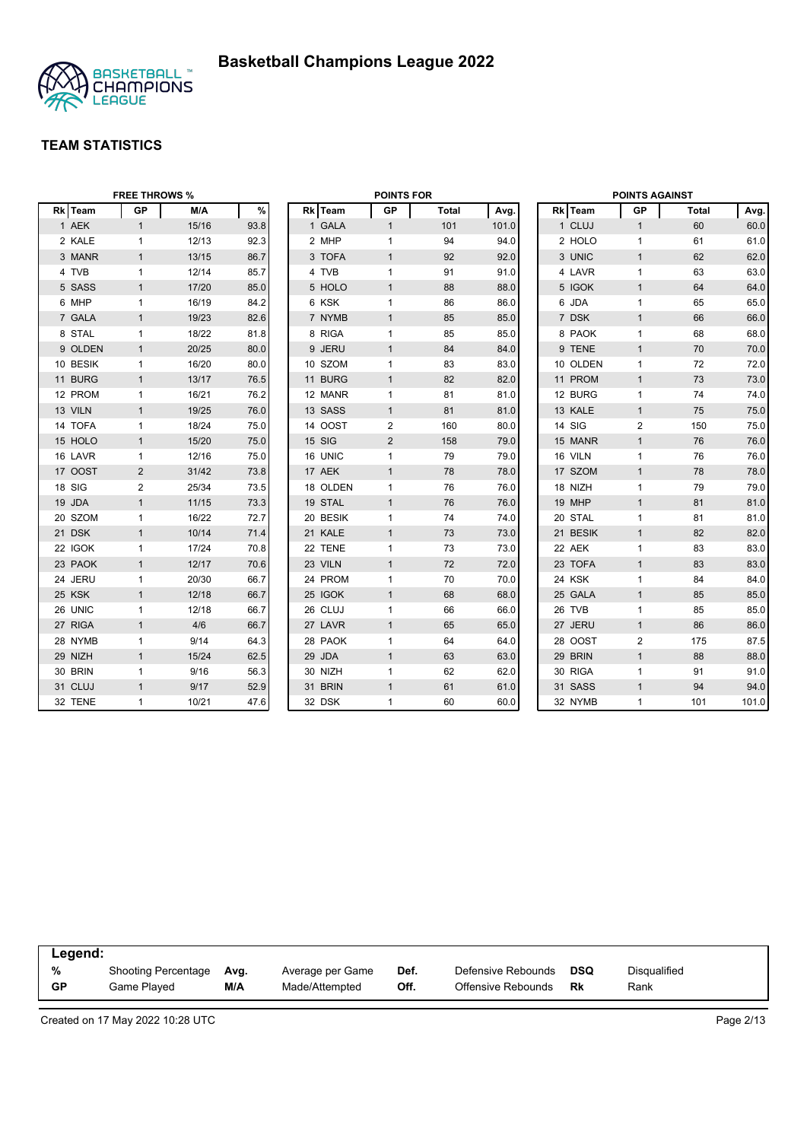

|          | <b>FREE THROWS %</b> |       |      |          | <b>POINTS FOR</b> |              |       |          | <b>POINTS AGAINST</b> |       |       |
|----------|----------------------|-------|------|----------|-------------------|--------------|-------|----------|-----------------------|-------|-------|
| Rk Team  | GP                   | M/A   | $\%$ | Rk Team  | GP                | <b>Total</b> | Avg.  | Rk Team  | GP                    | Total | Avg.  |
| 1 AEK    | $\mathbf{1}$         | 15/16 | 93.8 | 1 GALA   | $\mathbf{1}$      | 101          | 101.0 | 1 CLUJ   | $\mathbf{1}$          | 60    | 60.0  |
| 2 KALE   | $\mathbf{1}$         | 12/13 | 92.3 | 2 MHP    | $\mathbf{1}$      | 94           | 94.0  | 2 HOLO   | $\mathbf{1}$          | 61    | 61.0  |
| 3 MANR   | $\mathbf{1}$         | 13/15 | 86.7 | 3 TOFA   | $\mathbf{1}$      | 92           | 92.0  | 3 UNIC   | $\mathbf{1}$          | 62    | 62.0  |
| 4 TVB    | $\mathbf{1}$         | 12/14 | 85.7 | 4 TVB    | $\mathbf{1}$      | 91           | 91.0  | 4 LAVR   | $\mathbf{1}$          | 63    | 63.0  |
| 5 SASS   | $\mathbf{1}$         | 17/20 | 85.0 | 5 HOLO   | $\mathbf{1}$      | 88           | 88.0  | 5 IGOK   | $\mathbf{1}$          | 64    | 64.0  |
| 6 MHP    | $\mathbf{1}$         | 16/19 | 84.2 | 6 KSK    | $\mathbf{1}$      | 86           | 86.0  | 6 JDA    | $\mathbf{1}$          | 65    | 65.0  |
| 7 GALA   | $\mathbf{1}$         | 19/23 | 82.6 | 7 NYMB   | $\mathbf{1}$      | 85           | 85.0  | 7 DSK    | $\mathbf{1}$          | 66    | 66.0  |
| 8 STAL   | $\mathbf{1}$         | 18/22 | 81.8 | 8 RIGA   | $\mathbf{1}$      | 85           | 85.0  | 8 PAOK   | $\mathbf{1}$          | 68    | 68.0  |
| 9 OLDEN  | $\mathbf{1}$         | 20/25 | 80.0 | 9 JERU   | $\mathbf{1}$      | 84           | 84.0  | 9 TENE   | $\mathbf{1}$          | 70    | 70.0  |
| 10 BESIK | $\mathbf{1}$         | 16/20 | 80.0 | 10 SZOM  | $\mathbf{1}$      | 83           | 83.0  | 10 OLDEN | $\mathbf{1}$          | 72    | 72.0  |
| 11 BURG  | $\mathbf{1}$         | 13/17 | 76.5 | 11 BURG  | $\mathbf{1}$      | 82           | 82.0  | 11 PROM  | $\mathbf{1}$          | 73    | 73.0  |
| 12 PROM  | 1                    | 16/21 | 76.2 | 12 MANR  | $\mathbf{1}$      | 81           | 81.0  | 12 BURG  | $\mathbf{1}$          | 74    | 74.0  |
| 13 VILN  | $\mathbf{1}$         | 19/25 | 76.0 | 13 SASS  | $\mathbf{1}$      | 81           | 81.0  | 13 KALE  | $\mathbf{1}$          | 75    | 75.0  |
| 14 TOFA  | $\mathbf{1}$         | 18/24 | 75.0 | 14 OOST  | 2                 | 160          | 80.0  | 14 SIG   | $\overline{2}$        | 150   | 75.0  |
| 15 HOLO  | $\mathbf{1}$         | 15/20 | 75.0 | 15 SIG   | $\overline{2}$    | 158          | 79.0  | 15 MANR  | $\mathbf{1}$          | 76    | 76.0  |
| 16 LAVR  | $\mathbf{1}$         | 12/16 | 75.0 | 16 UNIC  | $\mathbf{1}$      | 79           | 79.0  | 16 VILN  | $\mathbf{1}$          | 76    | 76.0  |
| 17 OOST  | 2                    | 31/42 | 73.8 | 17 AEK   | $\mathbf{1}$      | 78           | 78.0  | 17 SZOM  | $\mathbf{1}$          | 78    | 78.0  |
| 18 SIG   | 2                    | 25/34 | 73.5 | 18 OLDEN | $\mathbf{1}$      | 76           | 76.0  | 18 NIZH  | $\mathbf{1}$          | 79    | 79.0  |
| 19 JDA   | $\mathbf{1}$         | 11/15 | 73.3 | 19 STAL  | $\mathbf{1}$      | 76           | 76.0  | 19 MHP   | $\mathbf{1}$          | 81    | 81.0  |
| 20 SZOM  | $\mathbf{1}$         | 16/22 | 72.7 | 20 BESIK | 1                 | 74           | 74.0  | 20 STAL  | $\mathbf{1}$          | 81    | 81.0  |
| 21 DSK   | $\mathbf{1}$         | 10/14 | 71.4 | 21 KALE  | $\mathbf{1}$      | 73           | 73.0  | 21 BESIK | $\mathbf{1}$          | 82    | 82.0  |
| 22 IGOK  | 1                    | 17/24 | 70.8 | 22 TENE  | $\mathbf{1}$      | 73           | 73.0  | 22 AEK   | $\mathbf{1}$          | 83    | 83.0  |
| 23 PAOK  | $\mathbf{1}$         | 12/17 | 70.6 | 23 VILN  | $\mathbf{1}$      | 72           | 72.0  | 23 TOFA  | $\mathbf{1}$          | 83    | 83.0  |
| 24 JERU  | $\mathbf{1}$         | 20/30 | 66.7 | 24 PROM  | $\mathbf{1}$      | 70           | 70.0  | 24 KSK   | $\mathbf{1}$          | 84    | 84.0  |
| 25 KSK   | $\mathbf{1}$         | 12/18 | 66.7 | 25 IGOK  | $\mathbf{1}$      | 68           | 68.0  | 25 GALA  | $\mathbf{1}$          | 85    | 85.0  |
| 26 UNIC  | $\mathbf{1}$         | 12/18 | 66.7 | 26 CLUJ  | $\mathbf{1}$      | 66           | 66.0  | 26 TVB   | $\mathbf{1}$          | 85    | 85.0  |
| 27 RIGA  | $\mathbf{1}$         | 4/6   | 66.7 | 27 LAVR  | $\mathbf{1}$      | 65           | 65.0  | 27 JERU  | $\mathbf{1}$          | 86    | 86.0  |
| 28 NYMB  | $\mathbf{1}$         | 9/14  | 64.3 | 28 PAOK  | $\mathbf{1}$      | 64           | 64.0  | 28 OOST  | 2                     | 175   | 87.5  |
| 29 NIZH  | $\mathbf{1}$         | 15/24 | 62.5 | 29 JDA   | $\mathbf{1}$      | 63           | 63.0  | 29 BRIN  | $\mathbf{1}$          | 88    | 88.0  |
| 30 BRIN  | $\mathbf{1}$         | 9/16  | 56.3 | 30 NIZH  | $\mathbf{1}$      | 62           | 62.0  | 30 RIGA  | $\mathbf{1}$          | 91    | 91.0  |
| 31 CLUJ  | $\mathbf{1}$         | 9/17  | 52.9 | 31 BRIN  | $\mathbf{1}$      | 61           | 61.0  | 31 SASS  | $\mathbf{1}$          | 94    | 94.0  |
| 32 TENE  | $\mathbf{1}$         | 10/21 | 47.6 | 32 DSK   | 1                 | 60           | 60.0  | 32 NYMB  | $\mathbf{1}$          | 101   | 101.0 |

| Legend: |                     |      |                  |      |                    |     |              |
|---------|---------------------|------|------------------|------|--------------------|-----|--------------|
| %       | Shooting Percentage | Ava. | Average per Game | Def. | Defensive Rebounds | DSQ | Disqualified |
| GP      | Game Played         | M/A  | Made/Attempted   | Off. | Offensive Rebounds | Rk  | Rank         |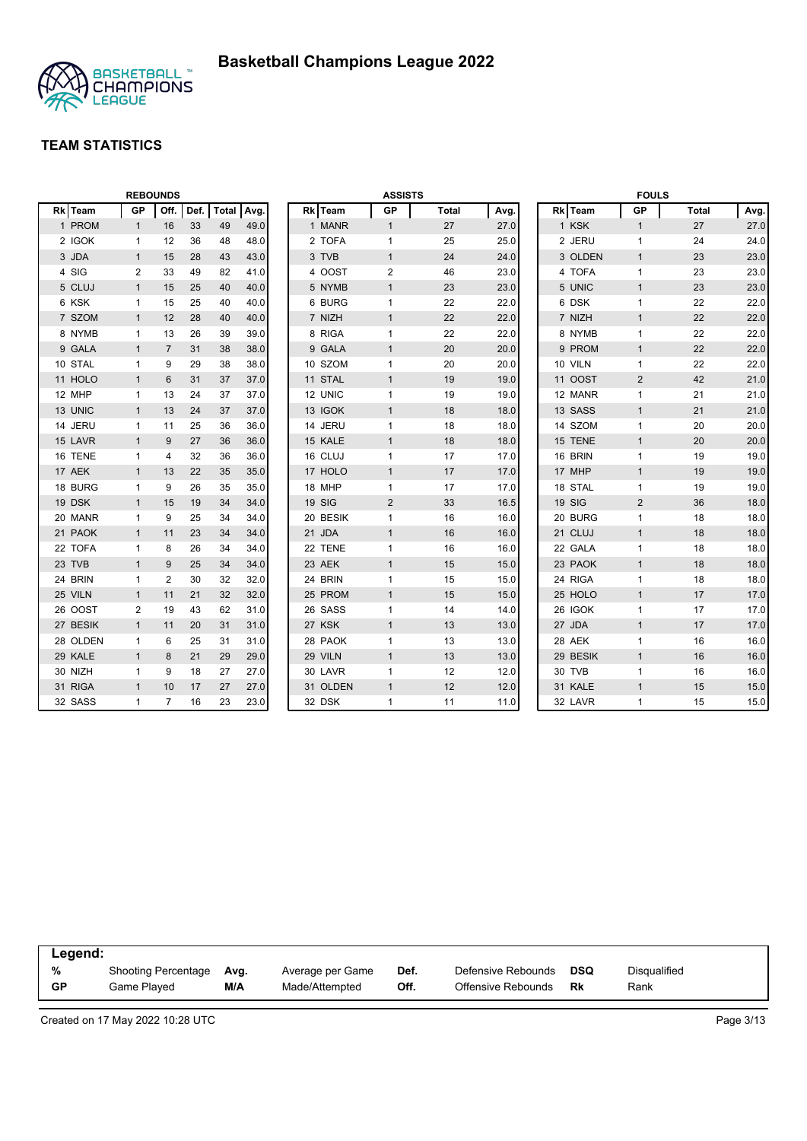

|          |                | <b>REBOUNDS</b> |      |              |      |          | <b>ASSISTS</b> |              |      |          | <b>FOULS</b>   |              |      |
|----------|----------------|-----------------|------|--------------|------|----------|----------------|--------------|------|----------|----------------|--------------|------|
| Rk Team  | GP             | Off.            | Def. | <b>Total</b> | Avg. | Rk Team  | <b>GP</b>      | <b>Total</b> | Avg. | Rk Team  | <b>GP</b>      | <b>Total</b> | Avg. |
| 1 PROM   | $\mathbf{1}$   | 16              | 33   | 49           | 49.0 | 1 MANR   | $\mathbf{1}$   | 27           | 27.0 | 1 KSK    | $\mathbf{1}$   | 27           | 27.0 |
| 2 IGOK   | $\mathbf{1}$   | 12              | 36   | 48           | 48.0 | 2 TOFA   | $\mathbf{1}$   | 25           | 25.0 | 2 JERU   | 1              | 24           | 24.0 |
| 3 JDA    | $\mathbf{1}$   | 15              | 28   | 43           | 43.0 | 3 TVB    | $\mathbf{1}$   | 24           | 24.0 | 3 OLDEN  | $\overline{1}$ | 23           | 23.0 |
| 4 SIG    | 2              | 33              | 49   | 82           | 41.0 | 4 OOST   | $\overline{2}$ | 46           | 23.0 | 4 TOFA   | $\mathbf{1}$   | 23           | 23.0 |
| 5 CLUJ   | $\mathbf{1}$   | 15              | 25   | 40           | 40.0 | 5 NYMB   | $\mathbf{1}$   | 23           | 23.0 | 5 UNIC   | $\mathbf{1}$   | 23           | 23.0 |
| 6 KSK    | 1              | 15              | 25   | 40           | 40.0 | 6 BURG   | $\mathbf{1}$   | 22           | 22.0 | 6 DSK    | $\mathbf{1}$   | 22           | 22.0 |
| 7 SZOM   | $\mathbf{1}$   | 12              | 28   | 40           | 40.0 | 7 NIZH   | $\mathbf{1}$   | 22           | 22.0 | 7 NIZH   | $\mathbf{1}$   | 22           | 22.0 |
| 8 NYMB   | 1              | 13              | 26   | 39           | 39.0 | 8 RIGA   | $\mathbf{1}$   | 22           | 22.0 | 8 NYMB   | 1              | 22           | 22.0 |
| 9 GALA   | $\mathbf{1}$   | $\overline{7}$  | 31   | 38           | 38.0 | 9 GALA   | $\mathbf{1}$   | 20           | 20.0 | 9 PROM   | $\mathbf{1}$   | 22           | 22.0 |
| 10 STAL  | 1              | 9               | 29   | 38           | 38.0 | 10 SZOM  | 1              | 20           | 20.0 | 10 VILN  | 1              | 22           | 22.0 |
| 11 HOLO  | $\mathbf{1}$   | 6               | 31   | 37           | 37.0 | 11 STAL  | $\mathbf{1}$   | 19           | 19.0 | 11 OOST  | $\overline{2}$ | 42           | 21.0 |
| 12 MHP   | 1              | 13              | 24   | 37           | 37.0 | 12 UNIC  | $\mathbf{1}$   | 19           | 19.0 | 12 MANR  | 1              | 21           | 21.0 |
| 13 UNIC  | $\mathbf{1}$   | 13              | 24   | 37           | 37.0 | 13 IGOK  | $\mathbf{1}$   | 18           | 18.0 | 13 SASS  | $\mathbf{1}$   | 21           | 21.0 |
| 14 JERU  | $\mathbf{1}$   | 11              | 25   | 36           | 36.0 | 14 JERU  | $\mathbf{1}$   | 18           | 18.0 | 14 SZOM  | $\mathbf{1}$   | 20           | 20.0 |
| 15 LAVR  | $\mathbf{1}$   | 9               | 27   | 36           | 36.0 | 15 KALE  | $\mathbf{1}$   | 18           | 18.0 | 15 TENE  | $\mathbf{1}$   | 20           | 20.0 |
| 16 TENE  | $\mathbf{1}$   | 4               | 32   | 36           | 36.0 | 16 CLUJ  | $\mathbf{1}$   | 17           | 17.0 | 16 BRIN  | $\mathbf{1}$   | 19           | 19.0 |
| 17 AEK   | $\mathbf{1}$   | 13              | 22   | 35           | 35.0 | 17 HOLO  | $\mathbf{1}$   | 17           | 17.0 | 17 MHP   | $\mathbf{1}$   | 19           | 19.0 |
| 18 BURG  | 1              | 9               | 26   | 35           | 35.0 | 18 MHP   | $\mathbf{1}$   | 17           | 17.0 | 18 STAL  | $\mathbf{1}$   | 19           | 19.0 |
| 19 DSK   | $\mathbf{1}$   | 15              | 19   | 34           | 34.0 | 19 SIG   | $\overline{2}$ | 33           | 16.5 | 19 SIG   | $\overline{2}$ | 36           | 18.0 |
| 20 MANR  | 1              | 9               | 25   | 34           | 34.0 | 20 BESIK | $\mathbf{1}$   | 16           | 16.0 | 20 BURG  | $\mathbf{1}$   | 18           | 18.0 |
| 21 PAOK  | $\mathbf{1}$   | 11              | 23   | 34           | 34.0 | 21 JDA   | $\mathbf{1}$   | 16           | 16.0 | 21 CLUJ  | $\mathbf{1}$   | 18           | 18.0 |
| 22 TOFA  | 1              | 8               | 26   | 34           | 34.0 | 22 TENE  | 1              | 16           | 16.0 | 22 GALA  | 1              | 18           | 18.0 |
| 23 TVB   | $\mathbf{1}$   | 9               | 25   | 34           | 34.0 | 23 AEK   | $\mathbf{1}$   | 15           | 15.0 | 23 PAOK  | $\mathbf{1}$   | 18           | 18.0 |
| 24 BRIN  | 1              | $\overline{2}$  | 30   | 32           | 32.0 | 24 BRIN  | $\mathbf{1}$   | 15           | 15.0 | 24 RIGA  | $\mathbf{1}$   | 18           | 18.0 |
| 25 VILN  | $\mathbf{1}$   | 11              | 21   | 32           | 32.0 | 25 PROM  | $\mathbf{1}$   | 15           | 15.0 | 25 HOLO  | $\mathbf{1}$   | 17           | 17.0 |
| 26 OOST  | $\overline{2}$ | 19              | 43   | 62           | 31.0 | 26 SASS  | $\mathbf{1}$   | 14           | 14.0 | 26 IGOK  | 1              | 17           | 17.0 |
| 27 BESIK | $\mathbf{1}$   | 11              | 20   | 31           | 31.0 | 27 KSK   | $\mathbf{1}$   | 13           | 13.0 | 27 JDA   | $\mathbf{1}$   | 17           | 17.0 |
| 28 OLDEN | $\mathbf{1}$   | 6               | 25   | 31           | 31.0 | 28 PAOK  | 1              | 13           | 13.0 | 28 AEK   | $\mathbf{1}$   | 16           | 16.0 |
| 29 KALE  | $\mathbf{1}$   | 8               | 21   | 29           | 29.0 | 29 VILN  | $\mathbf{1}$   | 13           | 13.0 | 29 BESIK | $\mathbf{1}$   | 16           | 16.0 |
| 30 NIZH  | $\mathbf{1}$   | 9               | 18   | 27           | 27.0 | 30 LAVR  | $\mathbf{1}$   | 12           | 12.0 | 30 TVB   | $\mathbf{1}$   | 16           | 16.0 |
| 31 RIGA  | $\mathbf{1}$   | 10              | 17   | 27           | 27.0 | 31 OLDEN | $\mathbf{1}$   | 12           | 12.0 | 31 KALE  | $\mathbf{1}$   | 15           | 15.0 |
| 32 SASS  | 1              | $\overline{7}$  | 16   | 23           | 23.0 | 32 DSK   | 1              | 11           | 11.0 | 32 LAVR  | 1              | 15           | 15.0 |

| Legend: |                            |      |                  |      |                    |     |              |
|---------|----------------------------|------|------------------|------|--------------------|-----|--------------|
| %       | <b>Shooting Percentage</b> | Ava. | Average per Game | Def. | Defensive Rebounds | DSQ | Disqualified |
| GP      | Game Plaved                | M/A  | Made/Attempted   | Off. | Offensive Rebounds | Rk  | Rank         |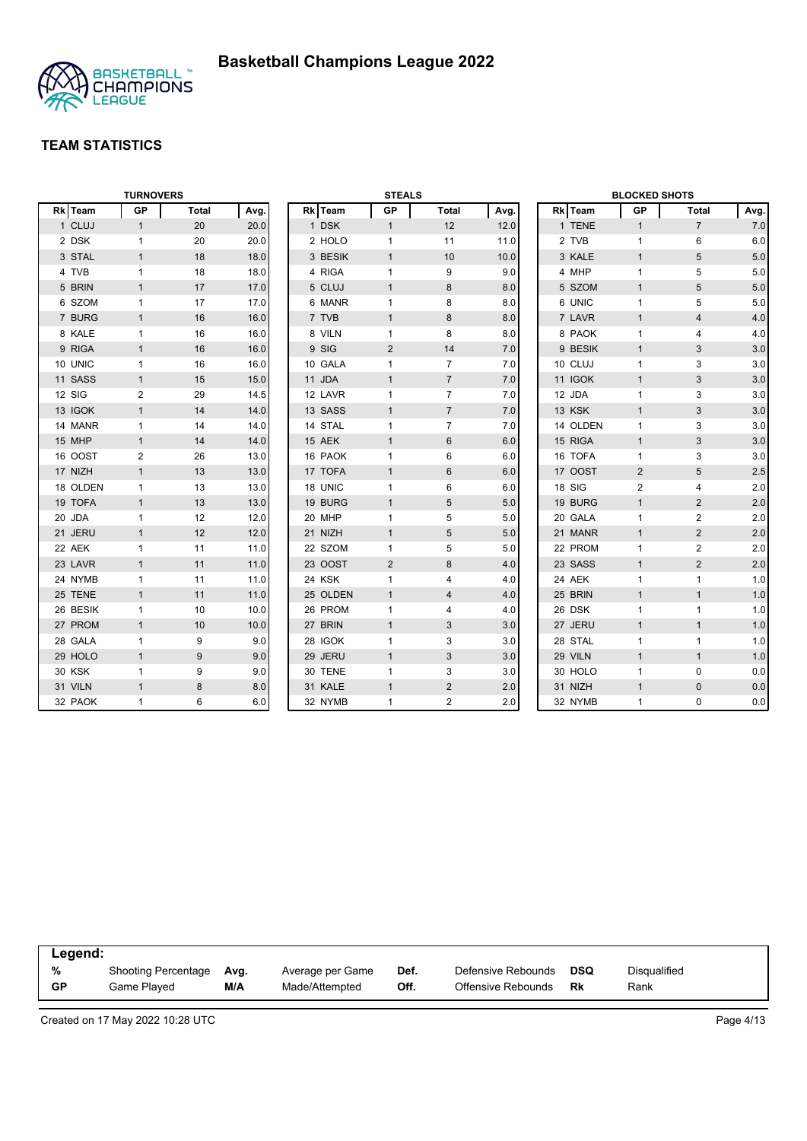

|                   | <b>TURNOVERS</b> |              |      |          | <b>STEALS</b>  |                 |      |          | <b>BLOCKED SHOTS</b> |                |       |
|-------------------|------------------|--------------|------|----------|----------------|-----------------|------|----------|----------------------|----------------|-------|
| <b>Team</b><br>Rk | GP               | <b>Total</b> | Avg. | Rk Team  | GP             | <b>Total</b>    | Avg. | Rk Team  | GP                   | Total          | Avg.  |
| 1 CLUJ            | $\mathbf{1}$     | 20           | 20.0 | 1 DSK    | $\mathbf{1}$   | 12              | 12.0 | 1 TENE   | $\mathbf{1}$         | $\overline{7}$ | 7.0   |
| 2 DSK             | $\mathbf{1}$     | 20           | 20.0 | 2 HOLO   | $\mathbf{1}$   | 11              | 11.0 | 2 TVB    | $\mathbf{1}$         | 6              | 6.0   |
| 3 STAL            | $\mathbf{1}$     | 18           | 18.0 | 3 BESIK  | $\mathbf{1}$   | 10              | 10.0 | 3 KALE   | $\mathbf{1}$         | 5              | 5.0   |
| 4 TVB             | $\mathbf{1}$     | 18           | 18.0 | 4 RIGA   | $\mathbf{1}$   | 9               | 9.0  | 4 MHP    | $\mathbf{1}$         | 5              | 5.0   |
| 5 BRIN            | $\mathbf{1}$     | 17           | 17.0 | 5 CLUJ   | $\mathbf{1}$   | 8               | 8.0  | 5 SZOM   | $\mathbf{1}$         | $\sqrt{5}$     | $5.0$ |
| 6 SZOM            | $\mathbf{1}$     | 17           | 17.0 | 6 MANR   | $\mathbf{1}$   | 8               | 8.0  | 6 UNIC   | $\mathbf{1}$         | 5              | 5.0   |
| 7 BURG            | $\mathbf{1}$     | 16           | 16.0 | 7 TVB    | $\mathbf{1}$   | $\bf 8$         | 8.0  | 7 LAVR   | $\mathbf{1}$         | $\overline{4}$ | 4.0   |
| 8 KALE            | $\mathbf{1}$     | 16           | 16.0 | 8 VILN   | $\mathbf{1}$   | 8               | 8.0  | 8 PAOK   | $\mathbf{1}$         | 4              | 4.0   |
| 9 RIGA            | $\mathbf{1}$     | 16           | 16.0 | 9 SIG    | $\overline{2}$ | 14              | 7.0  | 9 BESIK  | $\mathbf{1}$         | 3              | 3.0   |
| 10 UNIC           | $\mathbf{1}$     | 16           | 16.0 | 10 GALA  | $\mathbf{1}$   | $\overline{7}$  | 7.0  | 10 CLUJ  | $\mathbf{1}$         | 3              | 3.0   |
| 11 SASS           | $\mathbf{1}$     | 15           | 15.0 | 11 JDA   | $\mathbf{1}$   | $\overline{7}$  | 7.0  | 11 IGOK  | $\mathbf{1}$         | 3              | 3.0   |
| 12 SIG            | $\overline{2}$   | 29           | 14.5 | 12 LAVR  | $\mathbf{1}$   | $\overline{7}$  | 7.0  | 12 JDA   | $\mathbf{1}$         | 3              | 3.0   |
| 13 IGOK           | $\mathbf{1}$     | 14           | 14.0 | 13 SASS  | $\mathbf{1}$   | $\overline{7}$  | 7.0  | 13 KSK   | $\mathbf{1}$         | 3              | 3.0   |
| 14 MANR           | $\mathbf{1}$     | 14           | 14.0 | 14 STAL  | $\mathbf{1}$   | $\overline{7}$  | 7.0  | 14 OLDEN | $\mathbf{1}$         | 3              | 3.0   |
| 15 MHP            | $\mathbf{1}$     | 14           | 14.0 | 15 AEK   | $\mathbf{1}$   | 6               | 6.0  | 15 RIGA  | $\mathbf{1}$         | 3              | 3.0   |
| 16 OOST           | 2                | 26           | 13.0 | 16 PAOK  | $\mathbf{1}$   | 6               | 6.0  | 16 TOFA  | $\mathbf{1}$         | 3              | 3.0   |
| 17 NIZH           | $\mathbf{1}$     | 13           | 13.0 | 17 TOFA  | $\mathbf{1}$   | $6\phantom{1}6$ | 6.0  | 17 OOST  | $\overline{2}$       | 5              | 2.5   |
| 18 OLDEN          | $\mathbf{1}$     | 13           | 13.0 | 18 UNIC  | $\mathbf{1}$   | 6               | 6.0  | 18 SIG   | $\overline{2}$       | 4              | 2.0   |
| 19 TOFA           | $\mathbf{1}$     | 13           | 13.0 | 19 BURG  | $\mathbf{1}$   | $5\phantom{.0}$ | 5.0  | 19 BURG  | $\mathbf{1}$         | $\overline{2}$ | 2.0   |
| 20 JDA            | $\mathbf{1}$     | 12           | 12.0 | 20 MHP   | $\mathbf{1}$   | 5               | 5.0  | 20 GALA  | $\mathbf{1}$         | $\overline{2}$ | 2.0   |
| 21 JERU           | $\mathbf{1}$     | 12           | 12.0 | 21 NIZH  | $\mathbf{1}$   | $\sqrt{5}$      | 5.0  | 21 MANR  | $\mathbf{1}$         | 2              | 2.0   |
| 22 AEK            | $\mathbf{1}$     | 11           | 11.0 | 22 SZOM  | $\mathbf{1}$   | 5               | 5.0  | 22 PROM  | $\mathbf{1}$         | $\overline{2}$ | 2.0   |
| 23 LAVR           | $\mathbf{1}$     | 11           | 11.0 | 23 OOST  | $\overline{2}$ | 8               | 4.0  | 23 SASS  | $\mathbf{1}$         | $\sqrt{2}$     | 2.0   |
| 24 NYMB           | $\mathbf{1}$     | 11           | 11.0 | 24 KSK   | $\mathbf{1}$   | 4               | 4.0  | 24 AEK   | $\mathbf{1}$         | $\mathbf{1}$   | 1.0   |
| 25 TENE           | $\mathbf{1}$     | 11           | 11.0 | 25 OLDEN | $\mathbf{1}$   | $\overline{4}$  | 4.0  | 25 BRIN  | $\mathbf{1}$         | $\mathbf{1}$   | 1.0   |
| 26 BESIK          | $\mathbf{1}$     | 10           | 10.0 | 26 PROM  | $\mathbf{1}$   | 4               | 4.0  | 26 DSK   | $\mathbf{1}$         | $\mathbf{1}$   | 1.0   |
| 27 PROM           | $\mathbf{1}$     | 10           | 10.0 | 27 BRIN  | $\mathbf{1}$   | 3               | 3.0  | 27 JERU  | $\mathbf{1}$         | $\mathbf{1}$   | 1.0   |
| 28 GALA           | $\mathbf{1}$     | 9            | 9.0  | 28 IGOK  | 1              | 3               | 3.0  | 28 STAL  | $\mathbf{1}$         | $\mathbf{1}$   | 1.0   |
| 29 HOLO           | $\mathbf{1}$     | 9            | 9.0  | 29 JERU  | $\mathbf{1}$   | 3               | 3.0  | 29 VILN  | $\mathbf{1}$         | $\mathbf{1}$   | 1.0   |
| 30 KSK            | $\mathbf{1}$     | 9            | 9.0  | 30 TENE  | $\mathbf{1}$   | 3               | 3.0  | 30 HOLO  | $\mathbf{1}$         | $\mathbf 0$    | 0.0   |
| 31 VILN           | $\mathbf{1}$     | 8            | 8.0  | 31 KALE  | $\mathbf{1}$   | 2               | 2.0  | 31 NIZH  | $\mathbf{1}$         | $\mathbf{0}$   | 0.0   |
| 32 PAOK           | $\mathbf{1}$     | 6            | 6.0  | 32 NYMB  | $\mathbf{1}$   | $\overline{2}$  | 2.0  | 32 NYMB  | $\mathbf{1}$         | $\mathbf 0$    | 0.0   |

| Legend:   |                     |      |                  |      |                    |            |              |  |
|-----------|---------------------|------|------------------|------|--------------------|------------|--------------|--|
| %         | Shooting Percentage | Avg. | Average per Game | Def. | Defensive Rebounds | <b>DSQ</b> | Disqualified |  |
| <b>GP</b> | Game Played         | M/A  | Made/Attempted   | Off. | Offensive Rebounds | Rk         | Rank         |  |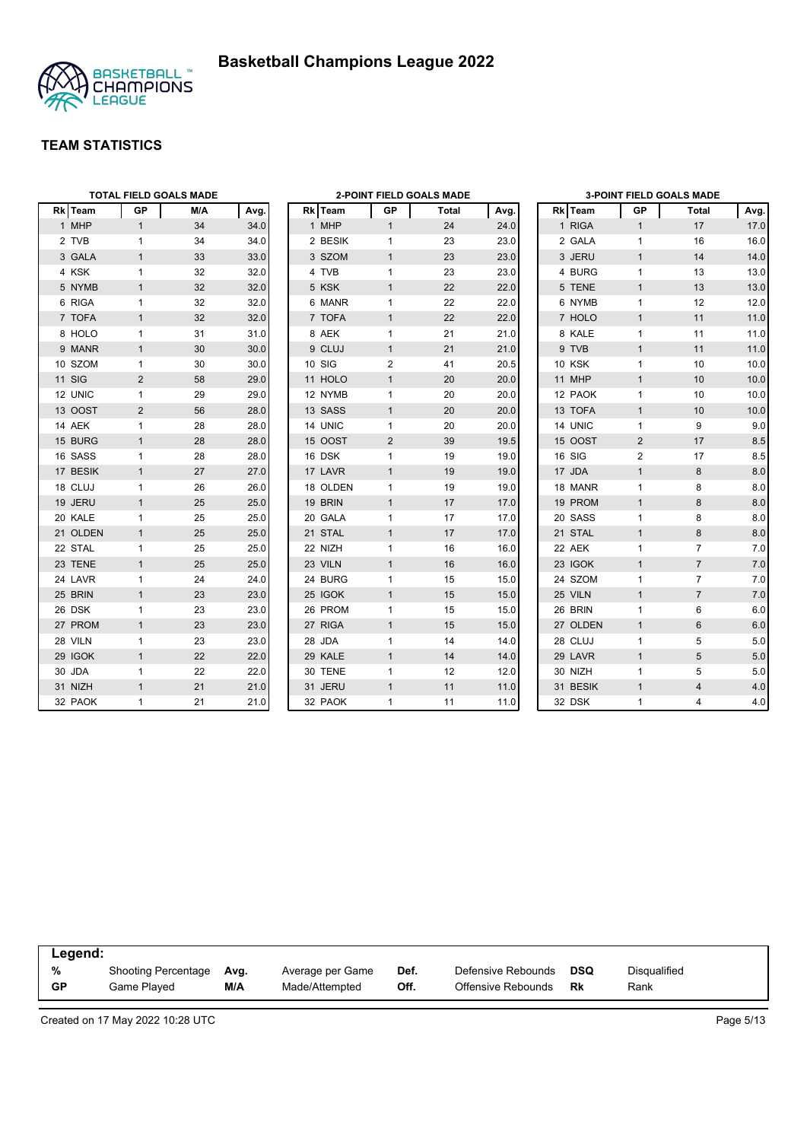



|          |              | <b>TOTAL FIELD GOALS MADE</b> |      |                |                | 2-POINT FIELD GOALS MADE |      |               |              | <b>3-POINT FIELD GOALS MADE</b> |       |
|----------|--------------|-------------------------------|------|----------------|----------------|--------------------------|------|---------------|--------------|---------------------------------|-------|
| Rk Team  | <b>GP</b>    | M/A                           | Avg. | Rk Team        | <b>GP</b>      | Total                    | Avg. | Rk Team       | GP           | Total                           | Avg.  |
| 1 MHP    | $\mathbf{1}$ | 34                            | 34.0 | 1 MHP          | $\mathbf{1}$   | 24                       | 24.0 | 1 RIGA        | $\mathbf{1}$ | 17                              | 17.0  |
| 2 TVB    | $\mathbf{1}$ | 34                            | 34.0 | 2 BESIK        | $\mathbf{1}$   | 23                       | 23.0 | 2 GALA        | $\mathbf{1}$ | 16                              | 16.0  |
| 3 GALA   | $\mathbf{1}$ | 33                            | 33.0 | 3 SZOM         | $\mathbf{1}$   | 23                       | 23.0 | 3 JERU        | $\mathbf{1}$ | 14                              | 14.0  |
| 4 KSK    | $\mathbf{1}$ | 32                            | 32.0 | 4 TVB          | 1              | 23                       | 23.0 | 4 BURG        | $\mathbf{1}$ | 13                              | 13.0  |
| 5 NYMB   | $\mathbf{1}$ | 32                            | 32.0 | 5 KSK          | $\mathbf{1}$   | 22                       | 22.0 | 5 TENE        | $\mathbf{1}$ | 13                              | 13.0  |
| 6 RIGA   | $\mathbf{1}$ | 32                            | 32.0 | 6 MANR         | 1              | 22                       | 22.0 | 6 NYMB        | $\mathbf{1}$ | 12                              | 12.0  |
| 7 TOFA   | $\mathbf{1}$ | 32                            | 32.0 | 7 TOFA         | $\mathbf{1}$   | 22                       | 22.0 | 7 HOLO        | $\mathbf{1}$ | 11                              | 11.0  |
| 8 HOLO   | $\mathbf{1}$ | 31                            | 31.0 | 8 AEK          | $\mathbf{1}$   | 21                       | 21.0 | 8 KALE        | $\mathbf{1}$ | 11                              | 11.0  |
| 9 MANR   | $\mathbf{1}$ | 30                            | 30.0 | 9 CLUJ         | $\mathbf{1}$   | 21                       | 21.0 | 9 TVB         | $\mathbf{1}$ | 11                              | 11.0  |
| 10 SZOM  | $\mathbf{1}$ | 30                            | 30.0 | 10 SIG         | 2              | 41                       | 20.5 | <b>10 KSK</b> | $\mathbf{1}$ | 10                              | 10.0  |
| 11 SIG   | 2            | 58                            | 29.0 | 11 HOLO        | $\mathbf{1}$   | 20                       | 20.0 | 11 MHP        | $\mathbf{1}$ | 10                              | 10.0  |
| 12 UNIC  | $\mathbf{1}$ | 29                            | 29.0 | 12 NYMB        | $\mathbf{1}$   | 20                       | 20.0 | 12 PAOK       | $\mathbf{1}$ | 10                              | 10.0  |
| 13 OOST  | 2            | 56                            | 28.0 | 13 SASS        | $\mathbf{1}$   | 20                       | 20.0 | 13 TOFA       | $\mathbf{1}$ | 10                              | 10.0  |
| 14 AEK   | $\mathbf{1}$ | 28                            | 28.0 | 14 UNIC        | $\mathbf{1}$   | 20                       | 20.0 | 14 UNIC       | $\mathbf{1}$ | 9                               | 9.0   |
| 15 BURG  | $\mathbf{1}$ | 28                            | 28.0 | <b>15 OOST</b> | $\overline{2}$ | 39                       | 19.5 | 15 OOST       | 2            | 17                              | 8.5   |
| 16 SASS  | $\mathbf{1}$ | 28                            | 28.0 | 16 DSK         | $\mathbf{1}$   | 19                       | 19.0 | 16 SIG        | 2            | 17                              | 8.5   |
| 17 BESIK | $\mathbf{1}$ | 27                            | 27.0 | 17 LAVR        | $\mathbf{1}$   | 19                       | 19.0 | 17 JDA        | $\mathbf{1}$ | 8                               | 8.0   |
| 18 CLUJ  | $\mathbf{1}$ | 26                            | 26.0 | 18 OLDEN       | $\mathbf{1}$   | 19                       | 19.0 | 18 MANR       | $\mathbf{1}$ | 8                               | 8.0   |
| 19 JERU  | $\mathbf{1}$ | 25                            | 25.0 | 19 BRIN        | $\mathbf{1}$   | 17                       | 17.0 | 19 PROM       | $\mathbf{1}$ | 8                               | 8.0   |
| 20 KALE  | $\mathbf{1}$ | 25                            | 25.0 | 20 GALA        | $\mathbf{1}$   | 17                       | 17.0 | 20 SASS       | $\mathbf{1}$ | 8                               | 8.0   |
| 21 OLDEN | $\mathbf{1}$ | 25                            | 25.0 | 21 STAL        | $\mathbf{1}$   | 17                       | 17.0 | 21 STAL       | $\mathbf{1}$ | 8                               | 8.0   |
| 22 STAL  | $\mathbf{1}$ | 25                            | 25.0 | 22 NIZH        | $\mathbf{1}$   | 16                       | 16.0 | 22 AEK        | $\mathbf{1}$ | $\overline{7}$                  | 7.0   |
| 23 TENE  | $\mathbf{1}$ | 25                            | 25.0 | 23 VILN        | $\mathbf{1}$   | 16                       | 16.0 | 23 IGOK       | $\mathbf{1}$ | $\overline{7}$                  | 7.0   |
| 24 LAVR  | $\mathbf{1}$ | 24                            | 24.0 | 24 BURG        | $\mathbf{1}$   | 15                       | 15.0 | 24 SZOM       | $\mathbf{1}$ | $\overline{7}$                  | 7.0   |
| 25 BRIN  | $\mathbf{1}$ | 23                            | 23.0 | 25 IGOK        | $\mathbf{1}$   | 15                       | 15.0 | 25 VILN       | $\mathbf{1}$ | $\overline{7}$                  | 7.0   |
| 26 DSK   | $\mathbf{1}$ | 23                            | 23.0 | 26 PROM        | $\mathbf{1}$   | 15                       | 15.0 | 26 BRIN       | $\mathbf{1}$ | 6                               | 6.0   |
| 27 PROM  | $\mathbf{1}$ | 23                            | 23.0 | 27 RIGA        | $\mathbf{1}$   | 15                       | 15.0 | 27 OLDEN      | $\mathbf{1}$ | 6                               | 6.0   |
| 28 VILN  | $\mathbf{1}$ | 23                            | 23.0 | 28 JDA         | $\mathbf{1}$   | 14                       | 14.0 | 28 CLUJ       | $\mathbf{1}$ | 5                               | 5.0   |
| 29 IGOK  | $\mathbf{1}$ | 22                            | 22.0 | 29 KALE        | $\mathbf{1}$   | 14                       | 14.0 | 29 LAVR       | $\mathbf{1}$ | 5                               | $5.0$ |
| 30 JDA   | $\mathbf{1}$ | 22                            | 22.0 | 30 TENE        | $\mathbf{1}$   | 12                       | 12.0 | 30 NIZH       | $\mathbf{1}$ | 5                               | 5.0   |
| 31 NIZH  | $\mathbf{1}$ | 21                            | 21.0 | 31 JERU        | $\mathbf{1}$   | 11                       | 11.0 | 31 BESIK      | $\mathbf{1}$ | $\overline{4}$                  | 4.0   |
| 32 PAOK  | $\mathbf{1}$ | 21                            | 21.0 | 32 PAOK        | $\mathbf{1}$   | 11                       | 11.0 | 32 DSK        | $\mathbf{1}$ | 4                               | 4.0   |

| Legend:   |                            |      |                  |      |                    |            |              |  |
|-----------|----------------------------|------|------------------|------|--------------------|------------|--------------|--|
| %         | <b>Shooting Percentage</b> | Avg. | Average per Game | Def. | Defensive Rebounds | <b>DSQ</b> | Disqualified |  |
| <b>GP</b> | Game Played                | M/A  | Made/Attempted   | Off. | Offensive Rebounds | Rk         | Rank         |  |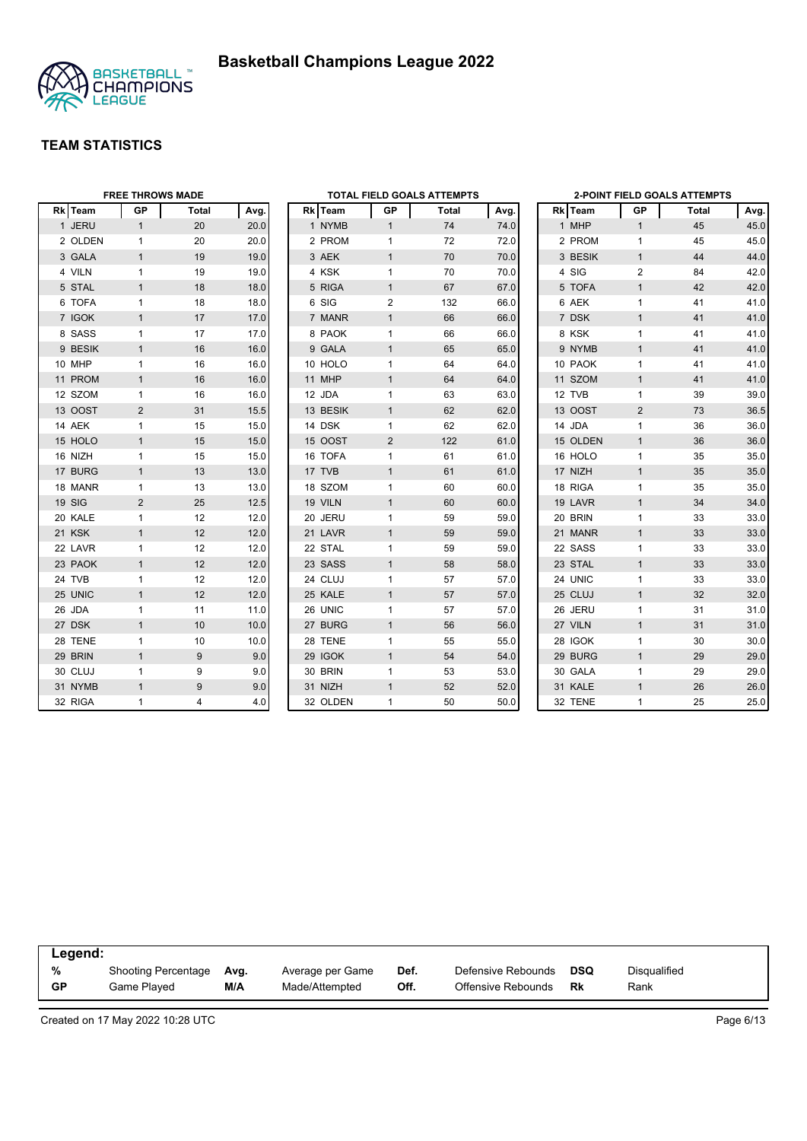



|         | <b>FREE THROWS MADE</b> |       |      |                |                | <b>TOTAL FIELD GOALS ATTEMPTS</b> |      |          |                | <b>2-POINT FIELD GOALS ATTEMPTS</b> |      |
|---------|-------------------------|-------|------|----------------|----------------|-----------------------------------|------|----------|----------------|-------------------------------------|------|
| Rk Team | GP                      | Total | Avg. | Rk Team        | GP             | Total                             | Avg. | Rk Team  | GP             | Total                               | Avg. |
| 1 JERU  | $\mathbf{1}$            | 20    | 20.0 | 1 NYMB         | $\mathbf{1}$   | 74                                | 74.0 | 1 MHP    | $\mathbf{1}$   | 45                                  | 45.0 |
| 2 OLDEN | $\mathbf{1}$            | 20    | 20.0 | 2 PROM         | $\mathbf{1}$   | 72                                | 72.0 | 2 PROM   | 1              | 45                                  | 45.0 |
| 3 GALA  | $\mathbf{1}$            | 19    | 19.0 | 3 AEK          | $\mathbf{1}$   | 70                                | 70.0 | 3 BESIK  | $\mathbf{1}$   | 44                                  | 44.0 |
| 4 VILN  | $\mathbf{1}$            | 19    | 19.0 | 4 KSK          | $\mathbf{1}$   | 70                                | 70.0 | 4 SIG    | 2              | 84                                  | 42.0 |
| 5 STAL  | $\mathbf{1}$            | 18    | 18.0 | 5 RIGA         | $\mathbf{1}$   | 67                                | 67.0 | 5 TOFA   | $\mathbf{1}$   | 42                                  | 42.0 |
| 6 TOFA  | $\mathbf{1}$            | 18    | 18.0 | 6 SIG          | 2              | 132                               | 66.0 | 6 AEK    | 1              | 41                                  | 41.0 |
| 7 IGOK  | $\mathbf{1}$            | 17    | 17.0 | 7 MANR         | $\mathbf{1}$   | 66                                | 66.0 | 7 DSK    | $\mathbf{1}$   | 41                                  | 41.0 |
| 8 SASS  | $\mathbf{1}$            | 17    | 17.0 | 8 PAOK         | $\mathbf{1}$   | 66                                | 66.0 | 8 KSK    | 1              | 41                                  | 41.0 |
| 9 BESIK | $\mathbf{1}$            | 16    | 16.0 | 9 GALA         | $\mathbf{1}$   | 65                                | 65.0 | 9 NYMB   | $\mathbf{1}$   | 41                                  | 41.0 |
| 10 MHP  | $\mathbf{1}$            | 16    | 16.0 | 10 HOLO        | $\mathbf{1}$   | 64                                | 64.0 | 10 PAOK  | $\mathbf{1}$   | 41                                  | 41.0 |
| 11 PROM | $\mathbf{1}$            | 16    | 16.0 | 11 MHP         | $\mathbf{1}$   | 64                                | 64.0 | 11 SZOM  | $\mathbf{1}$   | 41                                  | 41.0 |
| 12 SZOM | $\mathbf{1}$            | 16    | 16.0 | 12 JDA         | 1              | 63                                | 63.0 | 12 TVB   | 1              | 39                                  | 39.0 |
| 13 OOST | $\overline{2}$          | 31    | 15.5 | 13 BESIK       | $\mathbf{1}$   | 62                                | 62.0 | 13 OOST  | $\overline{2}$ | 73                                  | 36.5 |
| 14 AEK  | $\mathbf{1}$            | 15    | 15.0 | 14 DSK         | 1              | 62                                | 62.0 | 14 JDA   | 1              | 36                                  | 36.0 |
| 15 HOLO | $\mathbf{1}$            | 15    | 15.0 | <b>15 OOST</b> | $\overline{2}$ | 122                               | 61.0 | 15 OLDEN | $\mathbf{1}$   | 36                                  | 36.0 |
| 16 NIZH | $\mathbf{1}$            | 15    | 15.0 | 16 TOFA        | 1              | 61                                | 61.0 | 16 HOLO  | $\mathbf{1}$   | 35                                  | 35.0 |
| 17 BURG | $\mathbf{1}$            | 13    | 13.0 | 17 TVB         | $\mathbf{1}$   | 61                                | 61.0 | 17 NIZH  | $\mathbf{1}$   | 35                                  | 35.0 |
| 18 MANR | $\mathbf{1}$            | 13    | 13.0 | 18 SZOM        | $\mathbf{1}$   | 60                                | 60.0 | 18 RIGA  | $\mathbf{1}$   | 35                                  | 35.0 |
| 19 SIG  | 2                       | 25    | 12.5 | 19 VILN        | $\mathbf{1}$   | 60                                | 60.0 | 19 LAVR  | $\mathbf{1}$   | 34                                  | 34.0 |
| 20 KALE | $\mathbf{1}$            | 12    | 12.0 | 20 JERU        | 1              | 59                                | 59.0 | 20 BRIN  | 1              | 33                                  | 33.0 |
| 21 KSK  | $\mathbf{1}$            | 12    | 12.0 | 21 LAVR        | $\mathbf{1}$   | 59                                | 59.0 | 21 MANR  | $\mathbf{1}$   | 33                                  | 33.0 |
| 22 LAVR | $\mathbf{1}$            | 12    | 12.0 | 22 STAL        | $\mathbf{1}$   | 59                                | 59.0 | 22 SASS  | 1              | 33                                  | 33.0 |
| 23 PAOK | $\mathbf{1}$            | 12    | 12.0 | 23 SASS        | $\mathbf{1}$   | 58                                | 58.0 | 23 STAL  | $\mathbf{1}$   | 33                                  | 33.0 |
| 24 TVB  | $\mathbf{1}$            | 12    | 12.0 | 24 CLUJ        | $\mathbf{1}$   | 57                                | 57.0 | 24 UNIC  | 1              | 33                                  | 33.0 |
| 25 UNIC | $\mathbf{1}$            | 12    | 12.0 | 25 KALE        | $\mathbf{1}$   | 57                                | 57.0 | 25 CLUJ  | $\mathbf{1}$   | 32                                  | 32.0 |
| 26 JDA  | $\mathbf{1}$            | 11    | 11.0 | 26 UNIC        | $\mathbf{1}$   | 57                                | 57.0 | 26 JERU  | $\mathbf{1}$   | 31                                  | 31.0 |
| 27 DSK  | $\mathbf{1}$            | 10    | 10.0 | 27 BURG        | $\mathbf{1}$   | 56                                | 56.0 | 27 VILN  | $\mathbf{1}$   | 31                                  | 31.0 |
| 28 TENE | $\mathbf{1}$            | 10    | 10.0 | 28 TENE        | 1              | 55                                | 55.0 | 28 IGOK  | 1              | 30                                  | 30.0 |
| 29 BRIN | $\mathbf{1}$            | 9     | 9.0  | 29 IGOK        | $\mathbf{1}$   | 54                                | 54.0 | 29 BURG  | $\mathbf{1}$   | 29                                  | 29.0 |
| 30 CLUJ | $\mathbf{1}$            | 9     | 9.0  | 30 BRIN        | 1              | 53                                | 53.0 | 30 GALA  | 1              | 29                                  | 29.0 |
| 31 NYMB | $\mathbf{1}$            | 9     | 9.0  | 31 NIZH        | $\mathbf{1}$   | 52                                | 52.0 | 31 KALE  | $\mathbf{1}$   | 26                                  | 26.0 |
| 32 RIGA | 1                       | 4     | 4.0  | 32 OLDEN       | $\mathbf{1}$   | 50                                | 50.0 | 32 TENE  | 1              | 25                                  | 25.0 |

| Legend:   |                     |      |                  |      |                    |     |              |
|-----------|---------------------|------|------------------|------|--------------------|-----|--------------|
| %         | Shooting Percentage | Ava. | Average per Game | Def. | Defensive Rebounds | DSQ | Disqualified |
| <b>GP</b> | Game Played         | M/A  | Made/Attempted   | Off. | Offensive Rebounds | Rk  | Rank         |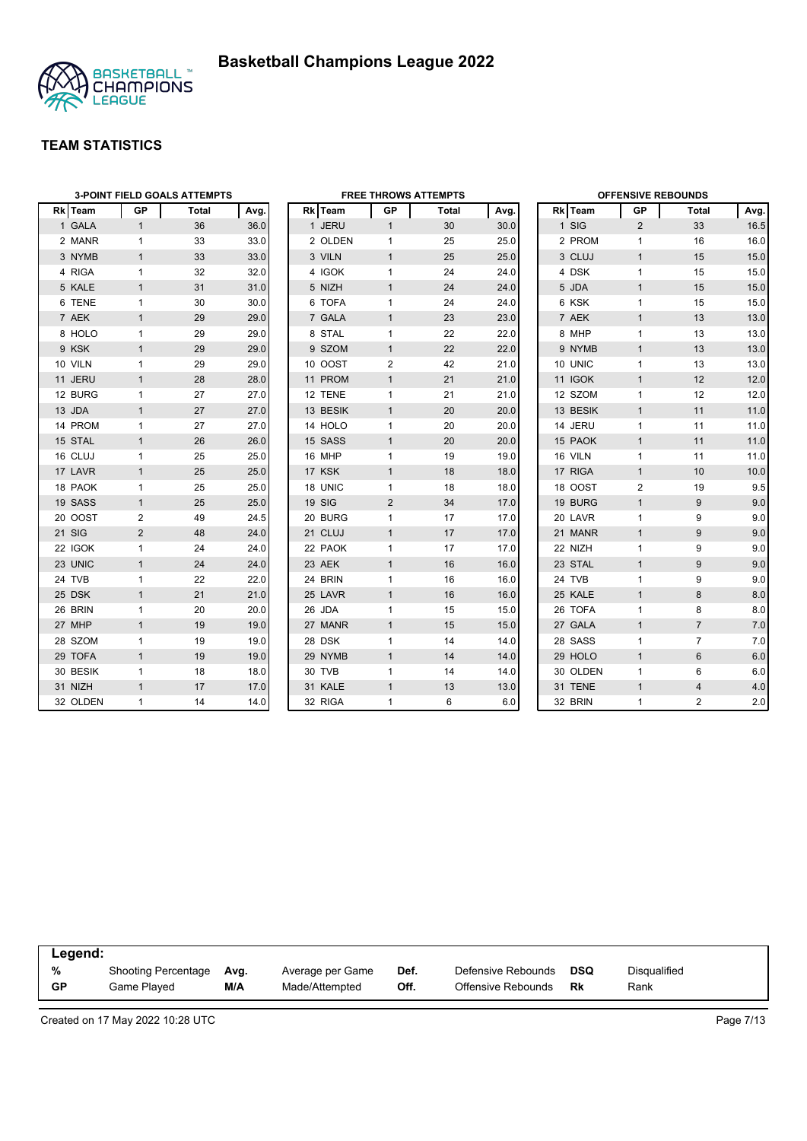

|          |              | <b>3-POINT FIELD GOALS ATTEMPTS</b> |      | <b>FREE THROWS ATTEMPTS</b> |              |              |      | <b>OFFENSIVE REBOUNDS</b> |          |                |                  |      |  |
|----------|--------------|-------------------------------------|------|-----------------------------|--------------|--------------|------|---------------------------|----------|----------------|------------------|------|--|
| Rk Team  | <b>GP</b>    | <b>Total</b>                        | Avg. | Rk Team                     | GP           | <b>Total</b> | Avg. |                           | Rk Team  | <b>GP</b>      | <b>Total</b>     | Avg. |  |
| 1 GALA   | $\mathbf{1}$ | 36                                  | 36.0 | 1 JERU                      | $\mathbf{1}$ | 30           | 30.0 |                           | 1 SIG    | 2              | 33               | 16.5 |  |
| 2 MANR   | 1            | 33                                  | 33.0 | 2 OLDEN                     | 1            | 25           | 25.0 |                           | 2 PROM   | $\mathbf{1}$   | 16               | 16.0 |  |
| 3 NYMB   | $\mathbf{1}$ | 33                                  | 33.0 | 3 VILN                      | $\mathbf{1}$ | 25           | 25.0 |                           | 3 CLUJ   | $\mathbf{1}$   | 15               | 15.0 |  |
| 4 RIGA   | $\mathbf{1}$ | 32                                  | 32.0 | 4 IGOK                      | $\mathbf{1}$ | 24           | 24.0 |                           | 4 DSK    | $\mathbf{1}$   | 15               | 15.0 |  |
| 5 KALE   | $\mathbf{1}$ | 31                                  | 31.0 | 5 NIZH                      | $\mathbf{1}$ | 24           | 24.0 |                           | 5 JDA    | $\mathbf{1}$   | 15               | 15.0 |  |
| 6 TENE   | $\mathbf{1}$ | 30                                  | 30.0 | 6 TOFA                      | $\mathbf{1}$ | 24           | 24.0 |                           | 6 KSK    | $\mathbf{1}$   | 15               | 15.0 |  |
| 7 AEK    | $\mathbf{1}$ | 29                                  | 29.0 | 7 GALA                      | $\mathbf{1}$ | 23           | 23.0 |                           | 7 AEK    | $\mathbf{1}$   | 13               | 13.0 |  |
| 8 HOLO   | $\mathbf{1}$ | 29                                  | 29.0 | 8 STAL                      | $\mathbf{1}$ | 22           | 22.0 |                           | 8 MHP    | $\mathbf{1}$   | 13               | 13.0 |  |
| 9 KSK    | $\mathbf{1}$ | 29                                  | 29.0 | 9 SZOM                      | $\mathbf{1}$ | 22           | 22.0 |                           | 9 NYMB   | $\mathbf{1}$   | 13               | 13.0 |  |
| 10 VILN  | $\mathbf{1}$ | 29                                  | 29.0 | 10 OOST                     | 2            | 42           | 21.0 |                           | 10 UNIC  | $\mathbf{1}$   | 13               | 13.0 |  |
| 11 JERU  | $\mathbf{1}$ | 28                                  | 28.0 | 11 PROM                     | $\mathbf{1}$ | 21           | 21.0 |                           | 11 IGOK  | $\mathbf{1}$   | 12               | 12.0 |  |
| 12 BURG  | $\mathbf{1}$ | 27                                  | 27.0 | 12 TENE                     | 1            | 21           | 21.0 |                           | 12 SZOM  | $\mathbf{1}$   | 12               | 12.0 |  |
| 13 JDA   | $\mathbf{1}$ | 27                                  | 27.0 | 13 BESIK                    | $\mathbf{1}$ | 20           | 20.0 |                           | 13 BESIK | $\mathbf{1}$   | 11               | 11.0 |  |
| 14 PROM  | $\mathbf{1}$ | 27                                  | 27.0 | 14 HOLO                     | 1            | 20           | 20.0 |                           | 14 JERU  | $\mathbf{1}$   | 11               | 11.0 |  |
| 15 STAL  | $\mathbf{1}$ | 26                                  | 26.0 | 15 SASS                     | $\mathbf{1}$ | 20           | 20.0 |                           | 15 PAOK  | $\mathbf{1}$   | 11               | 11.0 |  |
| 16 CLUJ  | $\mathbf{1}$ | 25                                  | 25.0 | 16 MHP                      | $\mathbf{1}$ | 19           | 19.0 |                           | 16 VILN  | $\mathbf{1}$   | 11               | 11.0 |  |
| 17 LAVR  | $\mathbf{1}$ | 25                                  | 25.0 | 17 KSK                      | $\mathbf{1}$ | 18           | 18.0 |                           | 17 RIGA  | $\mathbf{1}$   | 10               | 10.0 |  |
| 18 PAOK  | $\mathbf{1}$ | 25                                  | 25.0 | 18 UNIC                     | $\mathbf{1}$ | 18           | 18.0 |                           | 18 OOST  | $\overline{2}$ | 19               | 9.5  |  |
| 19 SASS  | $\mathbf{1}$ | 25                                  | 25.0 | 19 SIG                      | 2            | 34           | 17.0 |                           | 19 BURG  | $\mathbf{1}$   | 9                | 9.0  |  |
| 20 OOST  | 2            | 49                                  | 24.5 | 20 BURG                     | $\mathbf{1}$ | 17           | 17.0 |                           | 20 LAVR  | $\mathbf{1}$   | 9                | 9.0  |  |
| 21 SIG   | 2            | 48                                  | 24.0 | 21 CLUJ                     | $\mathbf{1}$ | 17           | 17.0 |                           | 21 MANR  | $\mathbf{1}$   | 9                | 9.0  |  |
| 22 IGOK  | $\mathbf{1}$ | 24                                  | 24.0 | 22 PAOK                     | 1            | 17           | 17.0 |                           | 22 NIZH  | $\mathbf{1}$   | 9                | 9.0  |  |
| 23 UNIC  | $\mathbf{1}$ | 24                                  | 24.0 | 23 AEK                      | $\mathbf{1}$ | 16           | 16.0 |                           | 23 STAL  | $\mathbf{1}$   | $\boldsymbol{9}$ | 9.0  |  |
| 24 TVB   | 1            | 22                                  | 22.0 | 24 BRIN                     | 1            | 16           | 16.0 |                           | 24 TVB   | $\mathbf{1}$   | 9                | 9.0  |  |
| 25 DSK   | $\mathbf{1}$ | 21                                  | 21.0 | 25 LAVR                     | $\mathbf{1}$ | 16           | 16.0 |                           | 25 KALE  | $\mathbf{1}$   | 8                | 8.0  |  |
| 26 BRIN  | $\mathbf{1}$ | 20                                  | 20.0 | 26 JDA                      | $\mathbf{1}$ | 15           | 15.0 |                           | 26 TOFA  | $\mathbf{1}$   | 8                | 8.0  |  |
| 27 MHP   | $\mathbf{1}$ | 19                                  | 19.0 | 27 MANR                     | $\mathbf{1}$ | 15           | 15.0 |                           | 27 GALA  | $\mathbf{1}$   | $\overline{7}$   | 7.0  |  |
| 28 SZOM  | $\mathbf{1}$ | 19                                  | 19.0 | 28 DSK                      | $\mathbf{1}$ | 14           | 14.0 |                           | 28 SASS  | $\mathbf{1}$   | $\overline{7}$   | 7.0  |  |
| 29 TOFA  | $\mathbf{1}$ | 19                                  | 19.0 | 29 NYMB                     | $\mathbf{1}$ | 14           | 14.0 |                           | 29 HOLO  | $\mathbf{1}$   | $6\phantom{1}$   | 6.0  |  |
| 30 BESIK | $\mathbf{1}$ | 18                                  | 18.0 | 30 TVB                      | $\mathbf{1}$ | 14           | 14.0 |                           | 30 OLDEN | $\mathbf{1}$   | 6                | 6.0  |  |
| 31 NIZH  | $\mathbf{1}$ | 17                                  | 17.0 | 31 KALE                     | $\mathbf{1}$ | 13           | 13.0 |                           | 31 TENE  | $\mathbf{1}$   | 4                | 4.0  |  |
| 32 OLDEN | $\mathbf{1}$ | 14                                  | 14.0 | 32 RIGA                     | $\mathbf{1}$ | 6            | 6.0  |                           | 32 BRIN  | 1              | $\overline{2}$   | 2.0  |  |

| Legend:   |                     |      |                  |      |                    |            |              |  |  |  |
|-----------|---------------------|------|------------------|------|--------------------|------------|--------------|--|--|--|
| %         | Shooting Percentage | Avg. | Average per Game | Def. | Defensive Rebounds | <b>DSQ</b> | Disgualified |  |  |  |
| <b>GP</b> | Game Plaved         | M/A  | Made/Attempted   | Off. | Offensive Rebounds | Rk         | Rank         |  |  |  |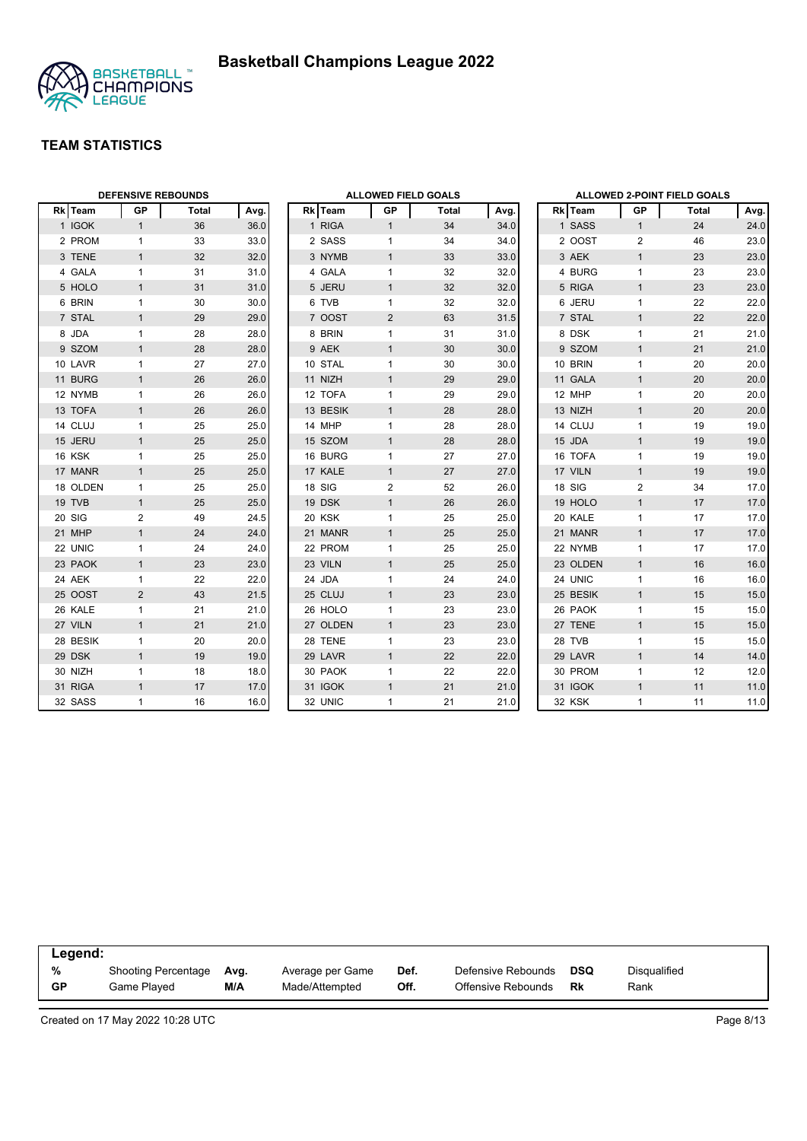

|          |                | <b>DEFENSIVE REBOUNDS</b> |      |          | <b>ALLOWED FIELD GOALS</b> |              |      |          | ALLOWED 2-POINT FIELD GOALS |       |      |  |  |
|----------|----------------|---------------------------|------|----------|----------------------------|--------------|------|----------|-----------------------------|-------|------|--|--|
| Rk Team  | <b>GP</b>      | Total                     | Avg. | Rk Team  | GP                         | <b>Total</b> | Avg. | Rk Team  | GP                          | Total | Avg. |  |  |
| 1 IGOK   | $\mathbf{1}$   | 36                        | 36.0 | 1 RIGA   | $\mathbf{1}$               | 34           | 34.0 | 1 SASS   | $\mathbf{1}$                | 24    | 24.0 |  |  |
| 2 PROM   | $\mathbf{1}$   | 33                        | 33.0 | 2 SASS   | $\mathbf{1}$               | 34           | 34.0 | 2 OOST   | 2                           | 46    | 23.0 |  |  |
| 3 TENE   | $\mathbf{1}$   | 32                        | 32.0 | 3 NYMB   | $\mathbf{1}$               | 33           | 33.0 | 3 AEK    | $\mathbf{1}$                | 23    | 23.0 |  |  |
| 4 GALA   | $\mathbf{1}$   | 31                        | 31.0 | 4 GALA   | 1                          | 32           | 32.0 | 4 BURG   | $\mathbf{1}$                | 23    | 23.0 |  |  |
| 5 HOLO   | $\mathbf{1}$   | 31                        | 31.0 | 5 JERU   | $\mathbf{1}$               | 32           | 32.0 | 5 RIGA   | $\mathbf{1}$                | 23    | 23.0 |  |  |
| 6 BRIN   | $\mathbf{1}$   | 30                        | 30.0 | 6 TVB    | 1                          | 32           | 32.0 | 6 JERU   | $\mathbf{1}$                | 22    | 22.0 |  |  |
| 7 STAL   | $\mathbf{1}$   | 29                        | 29.0 | 7 OOST   | $\overline{2}$             | 63           | 31.5 | 7 STAL   | $\mathbf{1}$                | 22    | 22.0 |  |  |
| 8 JDA    | $\mathbf{1}$   | 28                        | 28.0 | 8 BRIN   | $\mathbf{1}$               | 31           | 31.0 | 8 DSK    | $\mathbf{1}$                | 21    | 21.0 |  |  |
| 9 SZOM   | $\mathbf{1}$   | 28                        | 28.0 | 9 AEK    | $\mathbf{1}$               | 30           | 30.0 | 9 SZOM   | $\mathbf{1}$                | 21    | 21.0 |  |  |
| 10 LAVR  | $\mathbf{1}$   | 27                        | 27.0 | 10 STAL  | $\mathbf{1}$               | 30           | 30.0 | 10 BRIN  | $\mathbf{1}$                | 20    | 20.0 |  |  |
| 11 BURG  | $\mathbf{1}$   | 26                        | 26.0 | 11 NIZH  | $\mathbf{1}$               | 29           | 29.0 | 11 GALA  | $\mathbf{1}$                | 20    | 20.0 |  |  |
| 12 NYMB  | $\mathbf{1}$   | 26                        | 26.0 | 12 TOFA  | 1                          | 29           | 29.0 | 12 MHP   | $\mathbf{1}$                | 20    | 20.0 |  |  |
| 13 TOFA  | $\mathbf{1}$   | 26                        | 26.0 | 13 BESIK | $\mathbf{1}$               | 28           | 28.0 | 13 NIZH  | $\mathbf{1}$                | 20    | 20.0 |  |  |
| 14 CLUJ  | $\mathbf{1}$   | 25                        | 25.0 | 14 MHP   | $\mathbf{1}$               | 28           | 28.0 | 14 CLUJ  | $\mathbf{1}$                | 19    | 19.0 |  |  |
| 15 JERU  | $\mathbf{1}$   | 25                        | 25.0 | 15 SZOM  | $\mathbf{1}$               | 28           | 28.0 | 15 JDA   | $\mathbf{1}$                | 19    | 19.0 |  |  |
| 16 KSK   | $\mathbf{1}$   | 25                        | 25.0 | 16 BURG  | $\mathbf{1}$               | 27           | 27.0 | 16 TOFA  | $\mathbf{1}$                | 19    | 19.0 |  |  |
| 17 MANR  | $\mathbf{1}$   | 25                        | 25.0 | 17 KALE  | $\mathbf{1}$               | 27           | 27.0 | 17 VILN  | $\mathbf{1}$                | 19    | 19.0 |  |  |
| 18 OLDEN | $\mathbf{1}$   | 25                        | 25.0 | 18 SIG   | $\overline{c}$             | 52           | 26.0 | 18 SIG   | $\mathbf{2}$                | 34    | 17.0 |  |  |
| 19 TVB   | $\mathbf{1}$   | 25                        | 25.0 | 19 DSK   | $\mathbf{1}$               | 26           | 26.0 | 19 HOLO  | $\mathbf{1}$                | 17    | 17.0 |  |  |
| 20 SIG   | 2              | 49                        | 24.5 | 20 KSK   | $\mathbf{1}$               | 25           | 25.0 | 20 KALE  | $\mathbf{1}$                | 17    | 17.0 |  |  |
| 21 MHP   | $\mathbf{1}$   | 24                        | 24.0 | 21 MANR  | $\mathbf{1}$               | 25           | 25.0 | 21 MANR  | $\mathbf{1}$                | 17    | 17.0 |  |  |
| 22 UNIC  | 1              | 24                        | 24.0 | 22 PROM  | 1                          | 25           | 25.0 | 22 NYMB  | $\mathbf{1}$                | 17    | 17.0 |  |  |
| 23 PAOK  | $\mathbf{1}$   | 23                        | 23.0 | 23 VILN  | $\mathbf{1}$               | 25           | 25.0 | 23 OLDEN | $\mathbf{1}$                | 16    | 16.0 |  |  |
| 24 AEK   | $\mathbf{1}$   | 22                        | 22.0 | 24 JDA   | 1                          | 24           | 24.0 | 24 UNIC  | $\mathbf{1}$                | 16    | 16.0 |  |  |
| 25 OOST  | $\overline{2}$ | 43                        | 21.5 | 25 CLUJ  | $\mathbf{1}$               | 23           | 23.0 | 25 BESIK | $\mathbf{1}$                | 15    | 15.0 |  |  |
| 26 KALE  | $\mathbf{1}$   | 21                        | 21.0 | 26 HOLO  | $\mathbf{1}$               | 23           | 23.0 | 26 PAOK  | $\mathbf{1}$                | 15    | 15.0 |  |  |
| 27 VILN  | $\mathbf{1}$   | 21                        | 21.0 | 27 OLDEN | $\mathbf{1}$               | 23           | 23.0 | 27 TENE  | $\mathbf{1}$                | 15    | 15.0 |  |  |
| 28 BESIK | $\mathbf{1}$   | 20                        | 20.0 | 28 TENE  | $\mathbf{1}$               | 23           | 23.0 | 28 TVB   | $\mathbf{1}$                | 15    | 15.0 |  |  |
| 29 DSK   | $\mathbf{1}$   | 19                        | 19.0 | 29 LAVR  | $\mathbf{1}$               | 22           | 22.0 | 29 LAVR  | $\mathbf{1}$                | 14    | 14.0 |  |  |
| 30 NIZH  | 1              | 18                        | 18.0 | 30 PAOK  | 1                          | 22           | 22.0 | 30 PROM  | $\mathbf{1}$                | 12    | 12.0 |  |  |
| 31 RIGA  | $\mathbf{1}$   | 17                        | 17.0 | 31 IGOK  | $\mathbf{1}$               | 21           | 21.0 | 31 IGOK  | $\mathbf{1}$                | 11    | 11.0 |  |  |
| 32 SASS  | $\mathbf{1}$   | 16                        | 16.0 | 32 UNIC  | $\mathbf{1}$               | 21           | 21.0 | 32 KSK   | $\mathbf{1}$                | 11    | 11.0 |  |  |

| Legend:   |                     |      |                  |      |                    |     |                     |  |
|-----------|---------------------|------|------------------|------|--------------------|-----|---------------------|--|
| %         | Shooting Percentage | Avg. | Average per Game | Def. | Defensive Rebounds | DSQ | <b>Disqualified</b> |  |
| <b>GP</b> | Game Played         | M/A  | Made/Attempted   | Off. | Offensive Rebounds | Rk  | Rank                |  |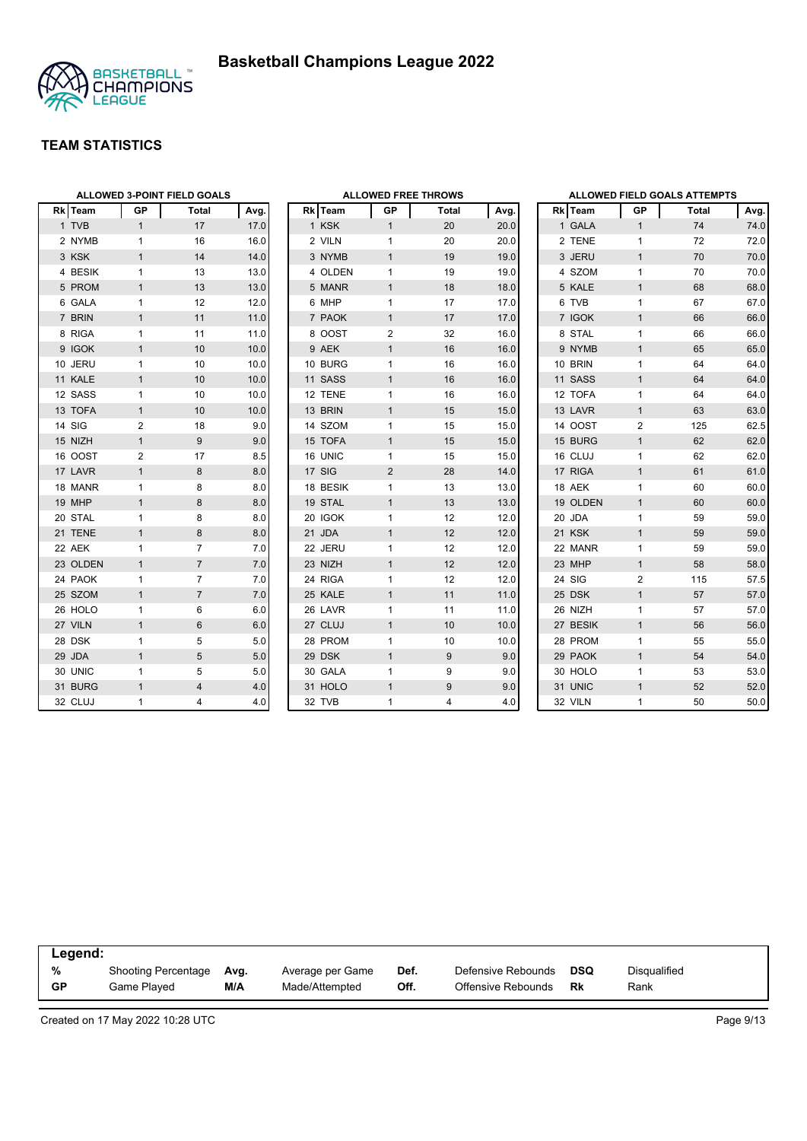

|          |                | <b>ALLOWED 3-POINT FIELD GOALS</b> |      |
|----------|----------------|------------------------------------|------|
| Rk Team  | <b>GP</b>      | <b>Total</b>                       | Avg. |
| 1 TVB    | 1              | 17                                 | 17.0 |
| 2 NYMB   | 1              | 16                                 | 16.0 |
| 3 KSK    | 1              | 14                                 | 14.0 |
| 4 BESIK  | 1              | 13                                 | 13.0 |
| 5 PROM   | 1              | 13                                 | 13.0 |
| 6 GALA   | 1              | 12                                 | 12.0 |
| 7 BRIN   | 1              | 11                                 | 11.0 |
| 8 RIGA   | 1              | 11                                 | 11.0 |
| 9 IGOK   | 1              | 10                                 | 10.0 |
| 10 JERU  | 1              | 10                                 | 10.0 |
| 11 KALE  | 1              | 10                                 | 10.0 |
| 12 SASS  | 1              | 10                                 | 10.0 |
| 13 TOFA  | 1              | 10                                 | 10.0 |
| 14 SIG   | 2              | 18                                 | 9.0  |
| 15 NIZH  | $\mathbf{1}$   | 9                                  | 9.0  |
| 16 OOST  | $\overline{2}$ | 17                                 | 8.5  |
| 17 LAVR  | 1              | 8                                  | 8.0  |
| 18 MANR  | 1              | 8                                  | 8.0  |
| 19 MHP   | 1              | 8                                  | 8.0  |
| 20 STAL  | 1              | 8                                  | 8.0  |
| 21 TENE  | 1              | 8                                  | 8.0  |
| 22 AEK   | 1              | 7                                  | 7.0  |
| 23 OLDEN | 1              | $\overline{7}$                     | 7.0  |
| 24 PAOK  | 1              | 7                                  | 7.0  |
| 25 SZOM  | 1              | $\overline{7}$                     | 7.0  |
| 26 HOLO  | 1              | 6                                  | 6.0  |
| 27 VILN  | $\overline{1}$ | 6                                  | 6.0  |
| 28 DSK   | 1              | 5                                  | 5.0  |
| 29 JDA   | 1              | 5                                  | 5.0  |
| 30 UNIC  | 1              | 5                                  | 5.0  |
| 31 BURG  | $\overline{1}$ | $\overline{4}$                     | 4.0  |
| 32 CLUJ  | 1              | 4                                  | 4.0  |

|                 |              |                | <b>ALLOWED FREE THROWS</b> |      |
|-----------------|--------------|----------------|----------------------------|------|
| Rk              | Team         | GP             | <b>Total</b>               | Avg. |
| 1               | <b>KSK</b>   | $\mathbf{1}$   | 20                         | 20.0 |
|                 | 2 VILN       | 1              | 20                         | 20.0 |
|                 | 3 NYMB       | $\mathbf{1}$   | 19                         | 19.0 |
| 4               | <b>OLDEN</b> | 1              | 19                         | 19.0 |
| 5               | <b>MANR</b>  | $\mathbf{1}$   | 18                         | 18.0 |
| 6               | <b>MHP</b>   | 1              | 17                         | 17.0 |
| $\overline{7}$  | <b>PAOK</b>  | $\overline{1}$ | 17                         | 17.0 |
| 8               | <b>OOST</b>  | $\overline{2}$ | 32                         | 16.0 |
| 9               | <b>AEK</b>   | $\overline{1}$ | 16                         | 16.0 |
| 10 <sup>1</sup> | <b>BURG</b>  | 1              | 16                         | 16.0 |
| 11              | <b>SASS</b>  | $\overline{1}$ | 16                         | 16.0 |
|                 | 12 TENE      | 1              | 16                         | 16.0 |
|                 | 13 BRIN      | $\mathbf{1}$   | 15                         | 15.0 |
|                 | 14 SZOM      | 1              | 15                         | 15.0 |
| 15              | <b>TOFA</b>  | $\overline{1}$ | 15                         | 15.0 |
| 16              | <b>UNIC</b>  | 1              | 15                         | 15.0 |
| 17              | SIG          | 2              | 28                         | 14.0 |
|                 | 18 BESIK     | 1              | 13                         | 13.0 |
|                 | 19 STAL      | $\overline{1}$ | 13                         | 13.0 |
| 20              | <b>IGOK</b>  | $\overline{1}$ | 12                         | 12.0 |
| 21              | <b>JDA</b>   | $\overline{1}$ | 12                         | 12.0 |
| 22              | <b>JERU</b>  | 1              | 12                         | 12.0 |
| 23              | <b>NIZH</b>  | $\mathbf{1}$   | 12                         | 12.0 |
| 24              | <b>RIGA</b>  | 1              | 12                         | 12.0 |
|                 | 25 KALE      | $\overline{1}$ | 11                         | 11.0 |
| 26              | LAVR         | 1              | 11                         | 11.0 |
| 27              | CLUJ         | $\mathbf{1}$   | 10                         | 10.0 |
| 28              | <b>PROM</b>  | 1              | 10                         | 10.0 |
|                 | 29 DSK       | $\overline{1}$ | 9                          | 9.0  |
|                 | 30 GALA      | 1              | 9                          | 9.0  |
| 31              | <b>HOLO</b>  | $\overline{1}$ | 9                          | 9.0  |
| 32              | <b>TVB</b>   | 1              | 4                          | 4.0  |

|                |             |                | <b>ALLOWED FIELD GOALS ATTEMPTS</b> |      |
|----------------|-------------|----------------|-------------------------------------|------|
| <b>Rk</b>      | <b>Team</b> | <b>GP</b>      | <b>Total</b>                        | Avg. |
| $\mathbf{1}$   | <b>GALA</b> | 1              | 74                                  | 74.0 |
| 2              | <b>TENE</b> | 1              | 72                                  | 72.0 |
| 3              | <b>JERU</b> | $\overline{1}$ | 70                                  | 70.0 |
| $\overline{4}$ | <b>SZOM</b> | 1              | 70                                  | 70.0 |
| 5              | <b>KALE</b> | $\overline{1}$ | 68                                  | 68.0 |
|                | 6 TVB       | 1              | 67                                  | 67.0 |
|                | 7 IGOK      | $\overline{1}$ | 66                                  | 66.0 |
| 8              | <b>STAL</b> | 1              | 66                                  | 66.0 |
|                | 9 NYMB      | $\overline{1}$ | 65                                  | 65.0 |
|                | 10 BRIN     | 1              | 64                                  | 64.0 |
|                | 11 SASS     | $\overline{1}$ | 64                                  | 64.0 |
|                | 12 TOFA     | 1              | 64                                  | 64.0 |
| 13             | LAVR        | $\overline{1}$ | 63                                  | 63.0 |
|                | 14 OOST     | $\overline{2}$ | 125                                 | 62.5 |
|                | 15 BURG     | $\mathbf{1}$   | 62                                  | 62.0 |
|                | 16 CLUJ     | 1              | 62                                  | 62.0 |
| 17             | <b>RIGA</b> | $\overline{1}$ | 61                                  | 61.0 |
|                | 18 AEK      | 1              | 60                                  | 60.0 |
|                | 19 OLDEN    | 1              | 60                                  | 60.0 |
|                | 20 JDA      | 1              | 59                                  | 59.0 |
| 21             | <b>KSK</b>  | $\overline{1}$ | 59                                  | 59.0 |
|                | 22 MANR     | 1              | 59                                  | 59.0 |
| 23             | <b>MHP</b>  | $\overline{1}$ | 58                                  | 58.0 |
| 24             | SIG         | $\overline{2}$ | 115                                 | 57.5 |
|                | 25 DSK      | $\overline{1}$ | 57                                  | 57.0 |
| 26             | <b>NIZH</b> | 1              | 57                                  | 57.0 |
|                | 27 BESIK    | $\overline{1}$ | 56                                  | 56.0 |
|                | 28 PROM     | 1              | 55                                  | 55.0 |
|                | 29 PAOK     | $\overline{1}$ | 54                                  | 54.0 |
|                | 30 HOLO     | 1              | 53                                  | 53.0 |
|                | 31 UNIC     | $\overline{1}$ | 52                                  | 52.0 |
|                | 32 VILN     | 1              | 50                                  | 50.0 |

| Legend:   |                     |      |                  |      |                    |            |              |
|-----------|---------------------|------|------------------|------|--------------------|------------|--------------|
| %         | Shooting Percentage | Avg. | Average per Game | Def. | Defensive Rebounds | <b>DSQ</b> | Disqualified |
| <b>GP</b> | Game Plaved         | M/A  | Made/Attempted   | Off. | Offensive Rebounds | Rk         | Rank         |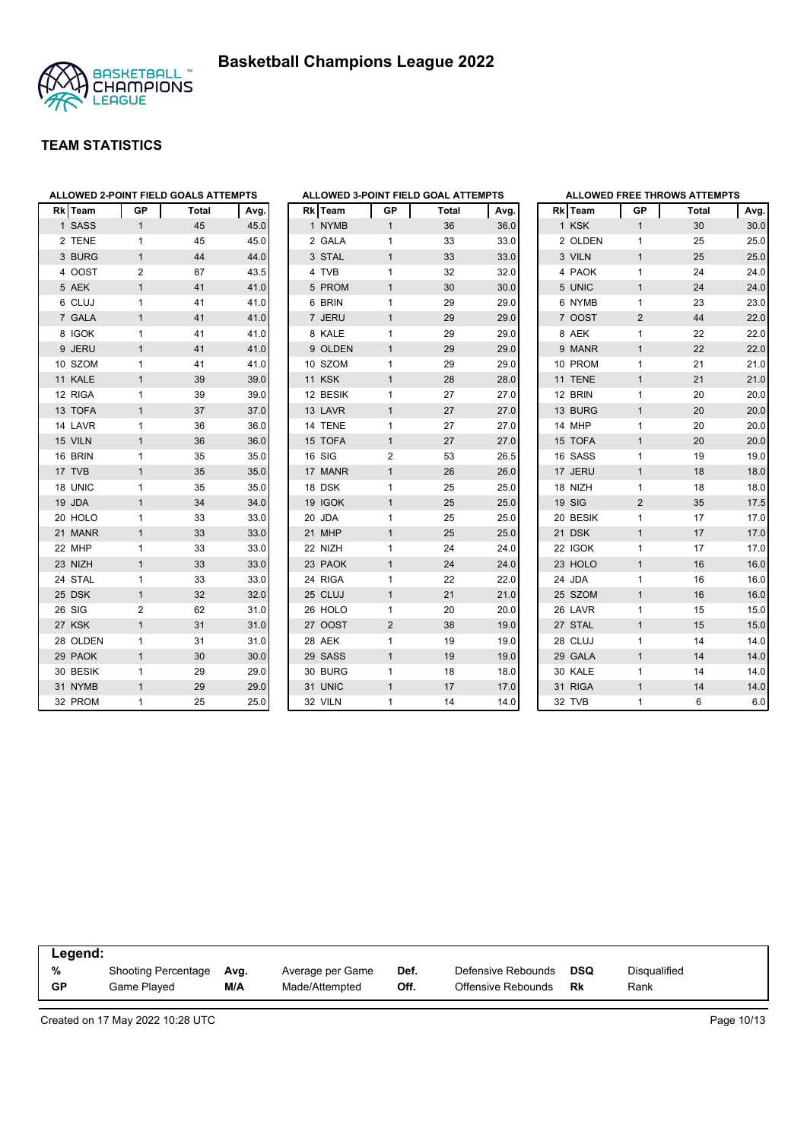



| Rk l | Team     | GP             | <b>Total</b> | Avg. |
|------|----------|----------------|--------------|------|
|      | 1 SASS   | $\mathbf{1}$   | 45           | 45.0 |
|      | 2 TENE   | 1              | 45           | 45.0 |
|      | 3 BURG   | $\mathbf{1}$   | 44           | 44.0 |
|      | 4 OOST   | 2              | 87           | 43.5 |
|      | 5 AEK    | 1              | 41           | 41.0 |
|      | 6 CLUJ   | 1              | 41           | 41.0 |
|      | 7 GALA   | 1              | 41           | 41.0 |
|      | 8 IGOK   | 1              | 41           | 41.0 |
|      | 9 JERU   | 1              | 41           | 41.0 |
|      | 10 SZOM  | 1              | 41           | 41.0 |
|      | 11 KALE  | 1              | 39           | 39.0 |
|      | 12 RIGA  | 1              | 39           | 39.0 |
|      | 13 TOFA  | 1              | 37           | 37.0 |
|      | 14 LAVR  | 1              | 36           | 36.0 |
|      | 15 VILN  | 1              | 36           | 36.0 |
|      | 16 BRIN  | 1              | 35           | 35.0 |
|      | 17 TVB   | $\overline{1}$ | 35           | 35.0 |
|      | 18 UNIC  | 1              | 35           | 35.0 |
|      | 19 JDA   | 1              | 34           | 34.0 |
|      | 20 HOLO  | 1              | 33           | 33.0 |
|      | 21 MANR  | 1              | 33           | 33.0 |
|      | 22 MHP   | 1              | 33           | 33.0 |
|      | 23 NIZH  | 1              | 33           | 33.0 |
|      | 24 STAL  | 1              | 33           | 33.0 |
|      | 25 DSK   | 1              | 32           | 32.0 |
|      | 26 SIG   | $\overline{2}$ | 62           | 31.0 |
|      | 27 KSK   | $\overline{1}$ | 31           | 31.0 |
|      | 28 OLDEN | 1              | 31           | 31.0 |
|      | 29 PAOK  | 1              | 30           | 30.0 |
|      | 30 BESIK | 1              | 29           | 29.0 |
|      | 31 NYMB  | 1              | 29           | 29.0 |
|      | 32 PROM  | 1              | 25           | 25.0 |

|                |                |                | ALLOWED 3-POINT FIELD GOAL ATTEMPTS |      |
|----------------|----------------|----------------|-------------------------------------|------|
|                | <b>Rk</b> Team | <b>GP</b>      | Total                               | Avg. |
|                | 1 NYMB         | $\mathbf{1}$   | 36                                  | 36.0 |
| 2              | <b>GALA</b>    | 1              | 33                                  | 33.0 |
| 3              | <b>STAL</b>    | $\overline{1}$ | 33                                  | 33.0 |
| 4              | <b>TVB</b>     | 1              | 32                                  | 32.0 |
| 5              | <b>PROM</b>    | $\mathbf{1}$   | 30                                  | 30.0 |
| 6              | <b>BRIN</b>    | 1              | 29                                  | 29.0 |
| $\overline{7}$ | <b>JERU</b>    | $\overline{1}$ | 29                                  | 29.0 |
| 8              | KALE           | 1              | 29                                  | 29.0 |
| 9              | <b>OLDEN</b>   | $\mathbf{1}$   | 29                                  | 29.0 |
|                | 10 SZOM        | 1              | 29                                  | 29.0 |
|                | 11 KSK         | $\mathbf{1}$   | 28                                  | 28.0 |
|                | 12 BESIK       | 1              | 27                                  | 27.0 |
|                | 13 LAVR        | $\overline{1}$ | 27                                  | 27.0 |
|                | 14 TENE        | 1              | 27                                  | 27.0 |
| 15             | <b>TOFA</b>    | $\mathbf{1}$   | 27                                  | 27.0 |
|                | 16 SIG         | $\overline{2}$ | 53                                  | 26.5 |
|                | 17 MANR        | $\mathbf{1}$   | 26                                  | 26.0 |
|                | 18 DSK         | 1              | 25                                  | 25.0 |
|                | 19 IGOK        | $\overline{1}$ | 25                                  | 25.0 |
| 20             | <b>JDA</b>     | 1              | 25                                  | 25.0 |
| 21             | <b>MHP</b>     | $\mathbf{1}$   | 25                                  | 25.0 |
|                | 22 NIZH        | 1              | 24                                  | 24.0 |
|                | 23 PAOK        | $\overline{1}$ | 24                                  | 24.0 |
|                | 24 RIGA        | 1              | 22                                  | 22.0 |
|                | 25 CLUJ        | $\mathbf{1}$   | 21                                  | 21.0 |
|                | 26 HOLO        | 1              | 20                                  | 20.0 |
|                | 27 OOST        | $\overline{2}$ | 38                                  | 19.0 |
|                | 28 AEK         | 1              | 19                                  | 19.0 |
|                | 29 SASS        | $\mathbf{1}$   | 19                                  | 19.0 |
|                | 30 BURG        | 1              | 18                                  | 18.0 |
| 31             | <b>UNIC</b>    | $\overline{1}$ | 17                                  | 17.0 |
| 32             | <b>VILN</b>    | 1              | 14                                  | 14.0 |

|                |                |                | <b>ALLOWED FREE THROWS ATTEMPTS</b> |      |
|----------------|----------------|----------------|-------------------------------------|------|
|                | <b>Rk</b> Team | <b>GP</b>      | <b>Total</b>                        | Avg. |
|                | 1 KSK          | 1              | 30                                  | 30.0 |
| $\overline{2}$ | <b>OLDEN</b>   | 1              | 25                                  | 25.0 |
|                | 3 VILN         | 1              | 25                                  | 25.0 |
| 4              | <b>PAOK</b>    | 1              | 24                                  | 24.0 |
| 5              | <b>UNIC</b>    | $\mathbf{1}$   | 24                                  | 24.0 |
| 6              | <b>NYMB</b>    | 1              | 23                                  | 23.0 |
|                | 7 OOST         | $\overline{2}$ | 44                                  | 22.0 |
| 8              | <b>AEK</b>     | 1              | 22                                  | 22.0 |
| 9              | <b>MANR</b>    | 1              | 22                                  | 22.0 |
|                | 10 PROM        | 1              | 21                                  | 21.0 |
|                | 11 TENE        | $\mathbf{1}$   | 21                                  | 21.0 |
|                | 12 BRIN        | 1              | 20                                  | 20.0 |
|                | 13 BURG        | 1              | 20                                  | 20.0 |
|                | 14 MHP         | 1              | 20                                  | 20.0 |
|                | 15 TOFA        | 1              | 20                                  | 20.0 |
|                | 16 SASS        | $\mathbf{1}$   | 19                                  | 19.0 |
|                | 17 JERU        | $\overline{1}$ | 18                                  | 18.0 |
|                | 18 NIZH        | 1              | 18                                  | 18.0 |
|                | 19 SIG         | $\overline{2}$ | 35                                  | 17.5 |
|                | 20 BESIK       | 1              | 17                                  | 17.0 |
|                | 21 DSK         | 1              | 17                                  | 17.0 |
|                | 22 IGOK        | 1              | 17                                  | 17.0 |
|                | 23 HOLO        | $\mathbf{1}$   | 16                                  | 16.0 |
|                | 24 JDA         | 1              | 16                                  | 16.0 |
|                | 25 SZOM        | 1              | 16                                  | 16.0 |
|                | 26 LAVR        | 1              | 15                                  | 15.0 |
|                | 27 STAL        | $\mathbf{1}$   | 15                                  | 15.0 |
|                | 28 CLUJ        | 1              | 14                                  | 14.0 |
|                | 29 GALA        | $\overline{1}$ | 14                                  | 14.0 |
|                | 30 KALE        | 1              | 14                                  | 14.0 |
| 31             | <b>RIGA</b>    | $\mathbf{1}$   | 14                                  | 14.0 |
|                | 32 TVB         | 1              | 6                                   | 6.0  |

| Legend:   |                            |      |                  |      |                    |     |              |  |
|-----------|----------------------------|------|------------------|------|--------------------|-----|--------------|--|
| %         | <b>Shooting Percentage</b> | Avg. | Average per Game | Def. | Defensive Rebounds | DSQ | Disqualified |  |
| <b>GP</b> | Game Plaved                | M/A  | Made/Attempted   | Off. | Offensive Rebounds | Rk  | Rank         |  |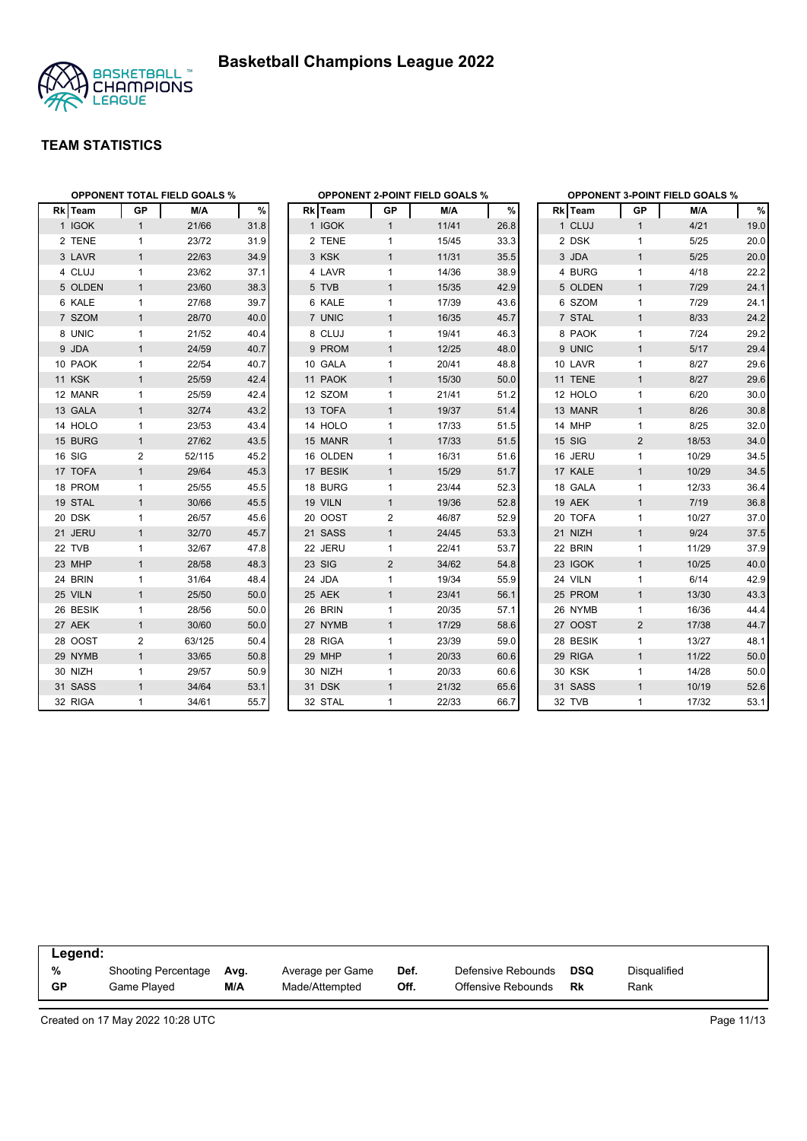



| <b>OPPONENT TOTAL FIELD GOALS %</b> |              |        |      | <b>OPPONENT 2-POINT FIELD GOALS %</b> |                |       |      | <b>OPPONENT 3-POINT FIELD GOALS %</b> |                |        |      |  |
|-------------------------------------|--------------|--------|------|---------------------------------------|----------------|-------|------|---------------------------------------|----------------|--------|------|--|
| Rk Team                             | GP           | M/A    | %    | Rk Team                               | GP             | M/A   | %    | Rk Team                               | GP             | M/A    | %    |  |
| 1 IGOK                              | $\mathbf{1}$ | 21/66  | 31.8 | 1 IGOK                                | $\mathbf{1}$   | 11/41 | 26.8 | 1 CLUJ                                | $\mathbf{1}$   | 4/21   | 19.0 |  |
| 2 TENE                              | $\mathbf{1}$ | 23/72  | 31.9 | 2 TENE                                | 1              | 15/45 | 33.3 | 2 DSK                                 | $\mathbf{1}$   | 5/25   | 20.0 |  |
| 3 LAVR                              | $\mathbf{1}$ | 22/63  | 34.9 | 3 KSK                                 | $\mathbf{1}$   | 11/31 | 35.5 | 3 JDA                                 | $\mathbf{1}$   | $5/25$ | 20.0 |  |
| 4 CLUJ                              | $\mathbf{1}$ | 23/62  | 37.1 | 4 LAVR                                | $\mathbf{1}$   | 14/36 | 38.9 | 4 BURG                                | $\mathbf{1}$   | 4/18   | 22.2 |  |
| 5 OLDEN                             | $\mathbf{1}$ | 23/60  | 38.3 | 5 TVB                                 | $\mathbf{1}$   | 15/35 | 42.9 | 5 OLDEN                               | $\mathbf{1}$   | 7/29   | 24.1 |  |
| 6 KALE                              | $\mathbf{1}$ | 27/68  | 39.7 | 6 KALE                                | $\mathbf{1}$   | 17/39 | 43.6 | 6 SZOM                                | $\mathbf{1}$   | 7/29   | 24.1 |  |
| 7 SZOM                              | $\mathbf{1}$ | 28/70  | 40.0 | 7 UNIC                                | $\mathbf{1}$   | 16/35 | 45.7 | 7 STAL                                | $\mathbf{1}$   | 8/33   | 24.2 |  |
| 8 UNIC                              | 1            | 21/52  | 40.4 | 8 CLUJ                                | $\mathbf{1}$   | 19/41 | 46.3 | 8 PAOK                                | 1              | 7/24   | 29.2 |  |
| 9 JDA                               | $\mathbf{1}$ | 24/59  | 40.7 | 9 PROM                                | $\mathbf{1}$   | 12/25 | 48.0 | 9 UNIC                                | $\mathbf{1}$   | 5/17   | 29.4 |  |
| 10 PAOK                             | $\mathbf{1}$ | 22/54  | 40.7 | 10 GALA                               | $\mathbf{1}$   | 20/41 | 48.8 | 10 LAVR                               | $\mathbf{1}$   | 8/27   | 29.6 |  |
| <b>11 KSK</b>                       | $\mathbf{1}$ | 25/59  | 42.4 | 11 PAOK                               | $\mathbf{1}$   | 15/30 | 50.0 | 11 TENE                               | $\mathbf{1}$   | 8/27   | 29.6 |  |
| 12 MANR                             | 1            | 25/59  | 42.4 | 12 SZOM                               | 1              | 21/41 | 51.2 | 12 HOLO                               | $\mathbf{1}$   | 6/20   | 30.0 |  |
| 13 GALA                             | $\mathbf{1}$ | 32/74  | 43.2 | 13 TOFA                               | $\mathbf{1}$   | 19/37 | 51.4 | 13 MANR                               | $\mathbf{1}$   | 8/26   | 30.8 |  |
| 14 HOLO                             | $\mathbf{1}$ | 23/53  | 43.4 | 14 HOLO                               | $\mathbf{1}$   | 17/33 | 51.5 | 14 MHP                                | $\mathbf{1}$   | 8/25   | 32.0 |  |
| 15 BURG                             | $\mathbf{1}$ | 27/62  | 43.5 | 15 MANR                               | $\mathbf{1}$   | 17/33 | 51.5 | <b>15 SIG</b>                         | $\overline{2}$ | 18/53  | 34.0 |  |
| 16 SIG                              | 2            | 52/115 | 45.2 | 16 OLDEN                              | $\mathbf{1}$   | 16/31 | 51.6 | 16 JERU                               | $\mathbf{1}$   | 10/29  | 34.5 |  |
| 17 TOFA                             | $\mathbf{1}$ | 29/64  | 45.3 | 17 BESIK                              | $\mathbf{1}$   | 15/29 | 51.7 | 17 KALE                               | $\mathbf{1}$   | 10/29  | 34.5 |  |
| 18 PROM                             | $\mathbf{1}$ | 25/55  | 45.5 | 18 BURG                               | 1              | 23/44 | 52.3 | 18 GALA                               | 1              | 12/33  | 36.4 |  |
| 19 STAL                             | $\mathbf{1}$ | 30/66  | 45.5 | 19 VILN                               | $\mathbf{1}$   | 19/36 | 52.8 | 19 AEK                                | $\mathbf{1}$   | 7/19   | 36.8 |  |
| 20 DSK                              | $\mathbf{1}$ | 26/57  | 45.6 | 20 OOST                               | 2              | 46/87 | 52.9 | 20 TOFA                               | $\mathbf{1}$   | 10/27  | 37.0 |  |
| 21 JERU                             | $\mathbf{1}$ | 32/70  | 45.7 | 21 SASS                               | $\mathbf{1}$   | 24/45 | 53.3 | 21 NIZH                               | $\mathbf{1}$   | 9/24   | 37.5 |  |
| 22 TVB                              | $\mathbf{1}$ | 32/67  | 47.8 | 22 JERU                               | 1              | 22/41 | 53.7 | 22 BRIN                               | 1              | 11/29  | 37.9 |  |
| 23 MHP                              | $\mathbf{1}$ | 28/58  | 48.3 | 23 SIG                                | $\overline{2}$ | 34/62 | 54.8 | 23 IGOK                               | $\mathbf{1}$   | 10/25  | 40.0 |  |
| 24 BRIN                             | 1            | 31/64  | 48.4 | 24 JDA                                | $\mathbf{1}$   | 19/34 | 55.9 | 24 VILN                               | $\mathbf{1}$   | 6/14   | 42.9 |  |
| 25 VILN                             | $\mathbf{1}$ | 25/50  | 50.0 | 25 AEK                                | $\mathbf{1}$   | 23/41 | 56.1 | 25 PROM                               | $\mathbf{1}$   | 13/30  | 43.3 |  |
| 26 BESIK                            | $\mathbf{1}$ | 28/56  | 50.0 | 26 BRIN                               | $\mathbf{1}$   | 20/35 | 57.1 | 26 NYMB                               | $\mathbf{1}$   | 16/36  | 44.4 |  |
| 27 AEK                              | $\mathbf{1}$ | 30/60  | 50.0 | 27 NYMB                               | $\mathbf{1}$   | 17/29 | 58.6 | 27 OOST                               | $\overline{2}$ | 17/38  | 44.7 |  |
| 28 OOST                             | 2            | 63/125 | 50.4 | 28 RIGA                               | $\mathbf{1}$   | 23/39 | 59.0 | 28 BESIK                              | $\mathbf{1}$   | 13/27  | 48.1 |  |
| 29 NYMB                             | $\mathbf{1}$ | 33/65  | 50.8 | 29 MHP                                | $\mathbf{1}$   | 20/33 | 60.6 | 29 RIGA                               | $\mathbf{1}$   | 11/22  | 50.0 |  |
| 30 NIZH                             | $\mathbf{1}$ | 29/57  | 50.9 | 30 NIZH                               | $\mathbf{1}$   | 20/33 | 60.6 | <b>30 KSK</b>                         | 1              | 14/28  | 50.0 |  |
| 31 SASS                             | $\mathbf{1}$ | 34/64  | 53.1 | 31 DSK                                | $\mathbf{1}$   | 21/32 | 65.6 | 31 SASS                               | $\mathbf{1}$   | 10/19  | 52.6 |  |
| 32 RIGA                             | $\mathbf{1}$ | 34/61  | 55.7 | 32 STAL                               | 1              | 22/33 | 66.7 | 32 TVB                                | $\mathbf{1}$   | 17/32  | 53.1 |  |

| Legend: |                                    |             |                                    |              |                                          |           |                             |
|---------|------------------------------------|-------------|------------------------------------|--------------|------------------------------------------|-----------|-----------------------------|
| %<br>GP | Shooting Percentage<br>Game Plaved | Ava.<br>M/A | Average per Game<br>Made/Attempted | Def.<br>Off. | Defensive Rebounds<br>Offensive Rebounds | DSQ<br>Rk | <b>Disqualified</b><br>Rank |
|         |                                    |             |                                    |              |                                          |           |                             |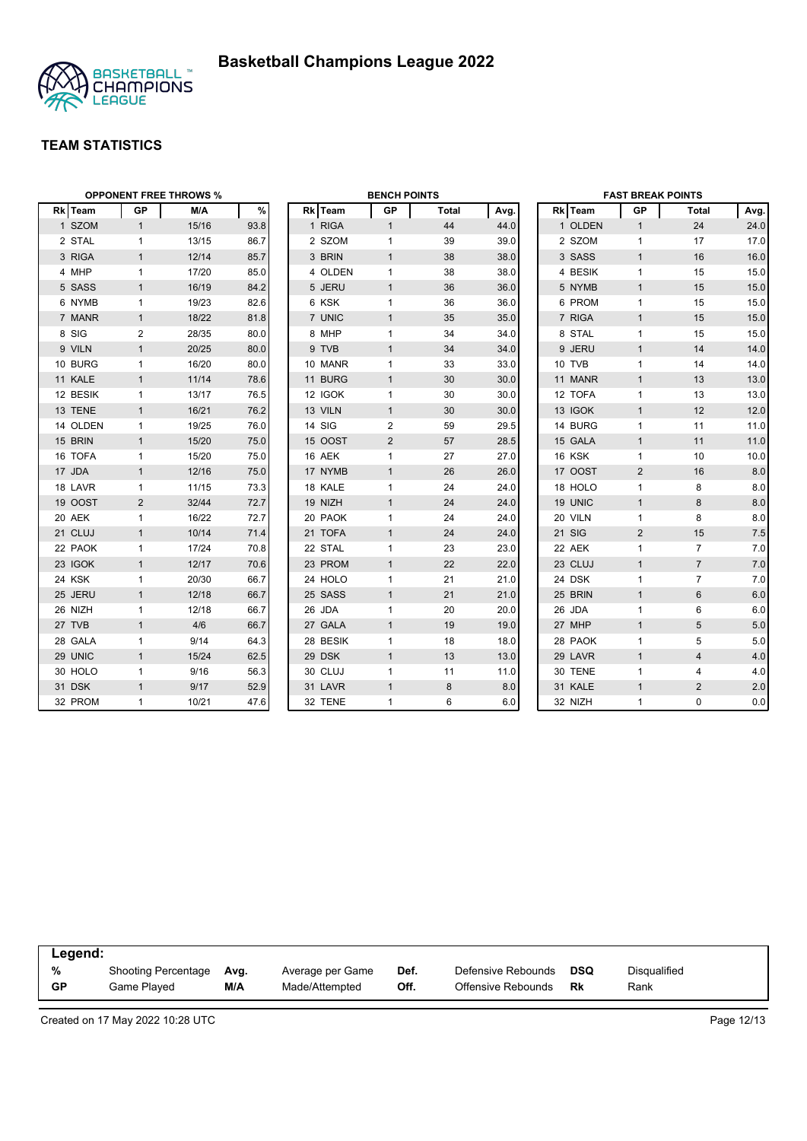



|          | <b>OPPONENT FREE THROWS %</b> |       |      |  | <b>BENCH POINTS</b> |                |              |      | <b>FAST BREAK POINTS</b> |         |                |                |      |
|----------|-------------------------------|-------|------|--|---------------------|----------------|--------------|------|--------------------------|---------|----------------|----------------|------|
| Rk Team  | GP                            | M/A   | %    |  | Rk Team             | GP             | <b>Total</b> | Avg. |                          | Rk Team | GP             | Total          | Avg. |
| 1 SZOM   | $\mathbf{1}$                  | 15/16 | 93.8 |  | 1 RIGA              | $\mathbf{1}$   | 44           | 44.0 |                          | 1 OLDEN | $\mathbf{1}$   | 24             | 24.0 |
| 2 STAL   | $\mathbf{1}$                  | 13/15 | 86.7 |  | 2 SZOM              | 1              | 39           | 39.0 |                          | 2 SZOM  | $\mathbf{1}$   | 17             | 17.0 |
| 3 RIGA   | $\mathbf{1}$                  | 12/14 | 85.7 |  | 3 BRIN              | $\mathbf{1}$   | 38           | 38.0 |                          | 3 SASS  | $\mathbf{1}$   | 16             | 16.0 |
| 4 MHP    | $\mathbf{1}$                  | 17/20 | 85.0 |  | 4 OLDEN             | $\mathbf{1}$   | 38           | 38.0 |                          | 4 BESIK | $\mathbf{1}$   | 15             | 15.0 |
| 5 SASS   | $\mathbf{1}$                  | 16/19 | 84.2 |  | 5 JERU              | $\mathbf{1}$   | 36           | 36.0 |                          | 5 NYMB  | $\mathbf{1}$   | 15             | 15.0 |
| 6 NYMB   | $\mathbf{1}$                  | 19/23 | 82.6 |  | 6 KSK               | $\mathbf{1}$   | 36           | 36.0 |                          | 6 PROM  | $\mathbf{1}$   | 15             | 15.0 |
| 7 MANR   | $\mathbf{1}$                  | 18/22 | 81.8 |  | 7 UNIC              | $\mathbf{1}$   | 35           | 35.0 |                          | 7 RIGA  | $\mathbf{1}$   | 15             | 15.0 |
| 8 SIG    | 2                             | 28/35 | 80.0 |  | 8 MHP               | 1              | 34           | 34.0 |                          | 8 STAL  | $\mathbf{1}$   | 15             | 15.0 |
| 9 VILN   | $\mathbf{1}$                  | 20/25 | 80.0 |  | 9 TVB               | $\mathbf{1}$   | 34           | 34.0 |                          | 9 JERU  | $\mathbf{1}$   | 14             | 14.0 |
| 10 BURG  | $\mathbf{1}$                  | 16/20 | 80.0 |  | 10 MANR             | 1              | 33           | 33.0 |                          | 10 TVB  | $\mathbf{1}$   | 14             | 14.0 |
| 11 KALE  | $\mathbf{1}$                  | 11/14 | 78.6 |  | 11 BURG             | $\mathbf{1}$   | 30           | 30.0 |                          | 11 MANR | $\mathbf{1}$   | 13             | 13.0 |
| 12 BESIK | $\mathbf{1}$                  | 13/17 | 76.5 |  | 12 IGOK             | 1              | 30           | 30.0 |                          | 12 TOFA | $\mathbf{1}$   | 13             | 13.0 |
| 13 TENE  | $\mathbf{1}$                  | 16/21 | 76.2 |  | 13 VILN             | $\mathbf{1}$   | 30           | 30.0 |                          | 13 IGOK | $\mathbf{1}$   | 12             | 12.0 |
| 14 OLDEN | $\mathbf{1}$                  | 19/25 | 76.0 |  | 14 SIG              | $\overline{c}$ | 59           | 29.5 |                          | 14 BURG | $\mathbf{1}$   | 11             | 11.0 |
| 15 BRIN  | $\mathbf{1}$                  | 15/20 | 75.0 |  | 15 OOST             | $\overline{2}$ | 57           | 28.5 |                          | 15 GALA | $\mathbf{1}$   | 11             | 11.0 |
| 16 TOFA  | $\mathbf{1}$                  | 15/20 | 75.0 |  | 16 AEK              | $\mathbf{1}$   | 27           | 27.0 |                          | 16 KSK  | 1              | 10             | 10.0 |
| 17 JDA   | $\mathbf{1}$                  | 12/16 | 75.0 |  | 17 NYMB             | $\mathbf{1}$   | 26           | 26.0 |                          | 17 OOST | $\overline{2}$ | 16             | 8.0  |
| 18 LAVR  | $\mathbf{1}$                  | 11/15 | 73.3 |  | 18 KALE             | $\mathbf{1}$   | 24           | 24.0 |                          | 18 HOLO | $\mathbf{1}$   | 8              | 8.0  |
| 19 OOST  | 2                             | 32/44 | 72.7 |  | 19 NIZH             | $\mathbf{1}$   | 24           | 24.0 |                          | 19 UNIC | $\mathbf{1}$   | 8              | 8.0  |
| 20 AEK   | $\mathbf{1}$                  | 16/22 | 72.7 |  | 20 PAOK             | $\mathbf{1}$   | 24           | 24.0 |                          | 20 VILN | $\mathbf{1}$   | 8              | 8.0  |
| 21 CLUJ  | $\mathbf{1}$                  | 10/14 | 71.4 |  | 21 TOFA             | $\mathbf{1}$   | 24           | 24.0 |                          | 21 SIG  | $\overline{2}$ | 15             | 7.5  |
| 22 PAOK  | $\mathbf{1}$                  | 17/24 | 70.8 |  | 22 STAL             | $\mathbf{1}$   | 23           | 23.0 |                          | 22 AEK  | 1              | $\overline{7}$ | 7.0  |
| 23 IGOK  | $\mathbf{1}$                  | 12/17 | 70.6 |  | 23 PROM             | $\mathbf{1}$   | 22           | 22.0 |                          | 23 CLUJ | $\mathbf{1}$   | $\overline{7}$ | 7.0  |
| 24 KSK   | $\mathbf{1}$                  | 20/30 | 66.7 |  | 24 HOLO             | $\mathbf{1}$   | 21           | 21.0 |                          | 24 DSK  | $\mathbf{1}$   | $\overline{7}$ | 7.0  |
| 25 JERU  | $\mathbf{1}$                  | 12/18 | 66.7 |  | 25 SASS             | $\mathbf{1}$   | 21           | 21.0 |                          | 25 BRIN | $\mathbf{1}$   | $6\phantom{1}$ | 6.0  |
| 26 NIZH  | $\mathbf{1}$                  | 12/18 | 66.7 |  | 26 JDA              | $\mathbf{1}$   | 20           | 20.0 |                          | 26 JDA  | $\mathbf{1}$   | 6              | 6.0  |
| 27 TVB   | $\mathbf{1}$                  | 4/6   | 66.7 |  | 27 GALA             | $\mathbf{1}$   | 19           | 19.0 |                          | 27 MHP  | $\mathbf{1}$   | 5              | 5.0  |
| 28 GALA  | $\mathbf{1}$                  | 9/14  | 64.3 |  | 28 BESIK            | $\mathbf{1}$   | 18           | 18.0 |                          | 28 PAOK | $\mathbf{1}$   | 5              | 5.0  |
| 29 UNIC  | $\mathbf{1}$                  | 15/24 | 62.5 |  | 29 DSK              | $\mathbf{1}$   | 13           | 13.0 |                          | 29 LAVR | $\mathbf{1}$   | 4              | 4.0  |
| 30 HOLO  | $\mathbf 1$                   | 9/16  | 56.3 |  | 30 CLUJ             | 1              | 11           | 11.0 |                          | 30 TENE | $\mathbf{1}$   | 4              | 4.0  |
| 31 DSK   | $\mathbf{1}$                  | 9/17  | 52.9 |  | 31 LAVR             | $\mathbf{1}$   | 8            | 8.0  |                          | 31 KALE | $\mathbf{1}$   | $\overline{2}$ | 2.0  |
| 32 PROM  | $\mathbf{1}$                  | 10/21 | 47.6 |  | 32 TENE             | 1              | 6            | 6.0  |                          | 32 NIZH | 1              | $\mathbf 0$    | 0.0  |

| Legend:   |                     |      |                  |      |                    |     |              |
|-----------|---------------------|------|------------------|------|--------------------|-----|--------------|
| %         | Shooting Percentage | Avg. | Average per Game | Def. | Defensive Rebounds | DSQ | Disqualified |
| <b>GP</b> | Game Played         | M/A  | Made/Attempted   | Off. | Offensive Rebounds | Rk  | Rank         |